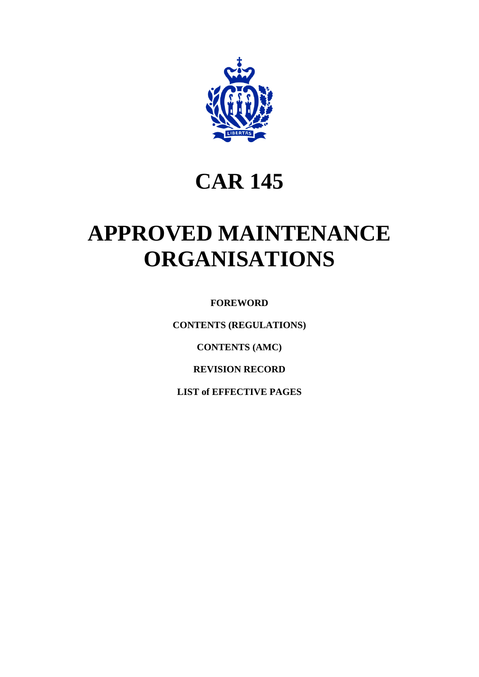

# **CAR 145**

# **APPROVED MAINTENANCE ORGANISATIONS**

**[FOREWORD](#page-2-0)**

**CONTENTS [\(REGULATIONS\)](#page-5-0)**

**[CONTENTS \(AMC\)](#page-7-0)**

**[REVISION RECORD](#page-4-0)**

**[LIST of EFFECTIVE PAGES](#page-5-1)**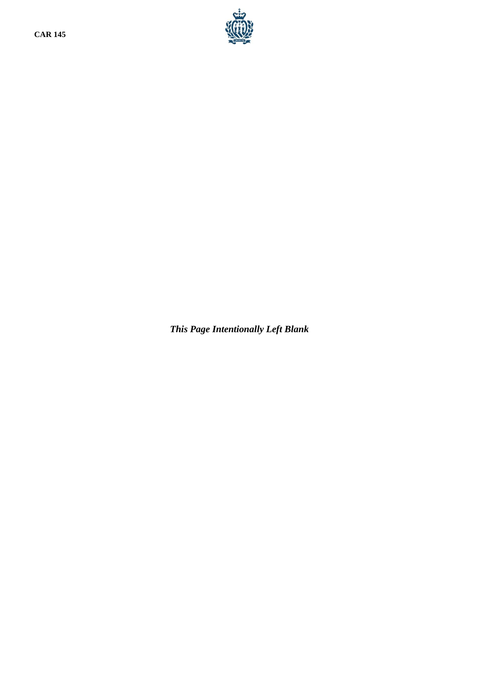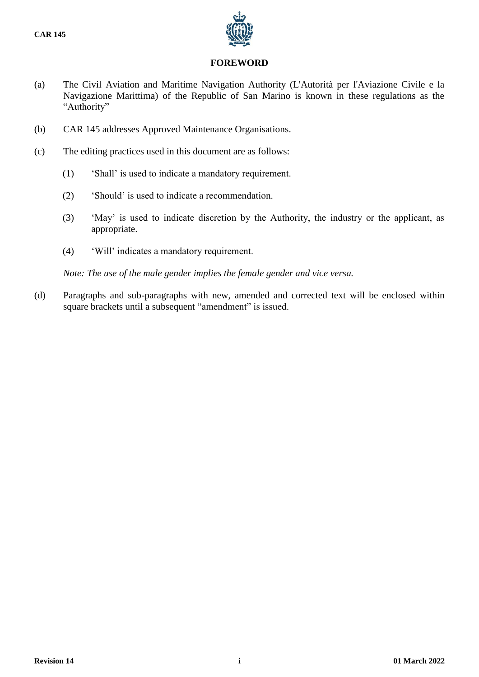

# **FOREWORD**

- <span id="page-2-0"></span>(a) The Civil Aviation and Maritime Navigation Authority (L'Autorità per l'Aviazione Civile e la Navigazione Marittima) of the Republic of San Marino is known in these regulations as the "Authority"
- (b) CAR 145 addresses Approved Maintenance Organisations.
- (c) The editing practices used in this document are as follows:
	- (1) 'Shall' is used to indicate a mandatory requirement.
	- (2) 'Should' is used to indicate a recommendation.
	- (3) 'May' is used to indicate discretion by the Authority, the industry or the applicant, as appropriate.
	- (4) 'Will' indicates a mandatory requirement.

*Note: The use of the male gender implies the female gender and vice versa.*

(d) Paragraphs and sub-paragraphs with new, amended and corrected text will be enclosed within square brackets until a subsequent "amendment" is issued.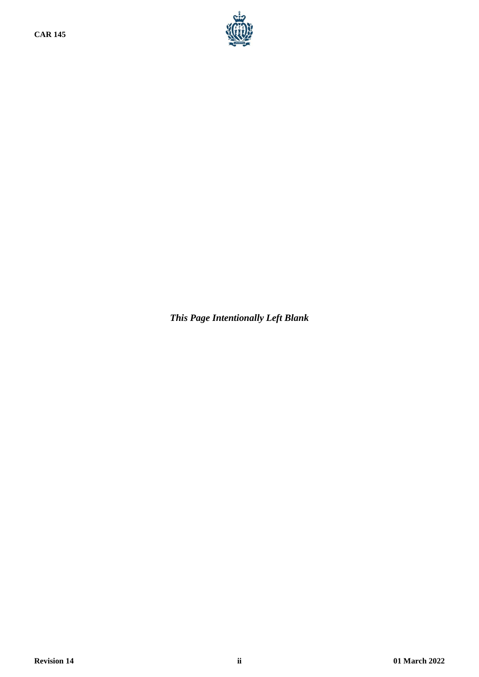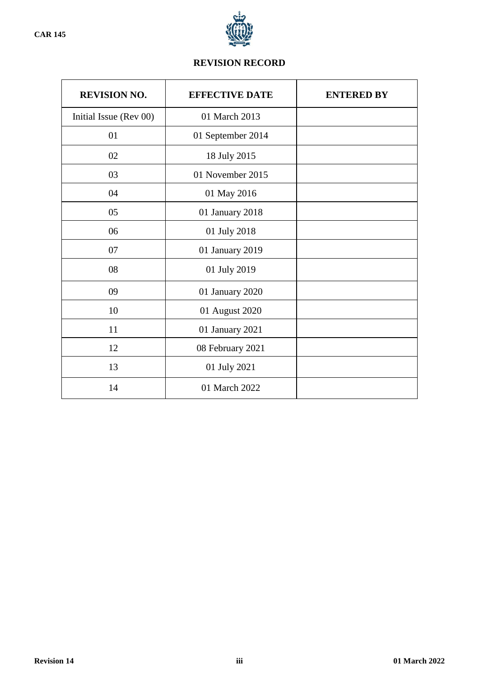

# **REVISION RECORD**

<span id="page-4-0"></span>

| <b>REVISION NO.</b>    | <b>EFFECTIVE DATE</b> | <b>ENTERED BY</b> |
|------------------------|-----------------------|-------------------|
| Initial Issue (Rev 00) | 01 March 2013         |                   |
| 01                     | 01 September 2014     |                   |
| 02                     | 18 July 2015          |                   |
| 03                     | 01 November 2015      |                   |
| 04                     | 01 May 2016           |                   |
| 05                     | 01 January 2018       |                   |
| 06                     | 01 July 2018          |                   |
| 07                     | 01 January 2019       |                   |
| 08                     | 01 July 2019          |                   |
| 09                     | 01 January 2020       |                   |
| 10                     | 01 August 2020        |                   |
| 11                     | 01 January 2021       |                   |
| 12                     | 08 February 2021      |                   |
| 13                     | 01 July 2021          |                   |
| 14                     | 01 March 2022         |                   |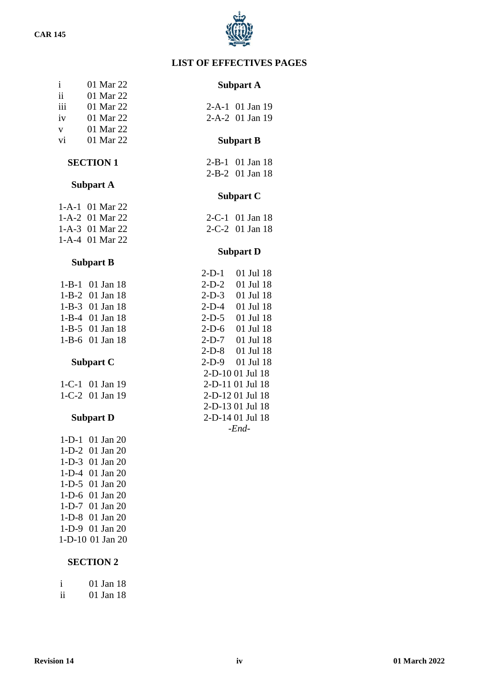<span id="page-5-1"></span>



# **LIST OF EFFECTIVES PAGES**

# **Subpart A**

i 01 Mar 22<br>ii 01 Mar 22 01 Mar 22 iii 01 Mar 22 iv 01 Mar 22 v 01 Mar 22 vi 01 Mar 22

# **SECTION 1**

# **Subpart A**

1-A-1 01 Mar 22 1-A-2 01 Mar 22 1-A-3 01 Mar 22 1-A-4 01 Mar 22

# **Subpart B**

1-B-1 01 Jan 18 1-B-2 01 Jan 18 1-B-3 01 Jan 18 1-B-4 01 Jan 18 1-B-5 01 Jan 18 1-B-6 01 Jan 18

# **Subpart C**

1-C-1 01 Jan 19 1-C-2 01 Jan 19

# **Subpart D**

1-D-1 01 Jan 20 1-D-2 01 Jan 20 1-D-3 01 Jan 20 1-D-4 01 Jan 20 1-D-5 01 Jan 20 1-D-6 01 Jan 20 1-D-7 01 Jan 20 1-D-8 01 Jan 20 1-D-9 01 Jan 20 1-D-10 01 Jan 20

# **SECTION 2**

<span id="page-5-0"></span>

| $\mathbf{i}$ | 01 Jan 18 |
|--------------|-----------|
| -11          | 01 Jan 18 |

# **Subpart B**

2-B-1 01 Jan 18 2-B-2 01 Jan 18

# **Subpart C**

2-C-1 01 Jan 18 2-C-2 01 Jan 18

# **Subpart D**

| $2-D-1$ | 01 Jul 18        |
|---------|------------------|
| 2-D-2   | 01 Jul 18        |
| 2-D-3   | 01 Jul 18        |
| 2-D-4   | 01 Jul 18        |
| $2-D-5$ | 01 Jul 18        |
| 2-D-6   | 01 Jul 18        |
| $2-D-7$ | 01 Jul 18        |
| $2-D-8$ | 01 Jul 18        |
| $2-D-9$ | 01 Jul 18        |
|         | 2-D-10 01 Jul 18 |
|         | 2-D-11 01 Jul 18 |
|         | 2-D-12 01 Jul 18 |
|         | 2-D-13 01 Jul 18 |
|         | 2-D-14 01 Jul 18 |
|         | -End-            |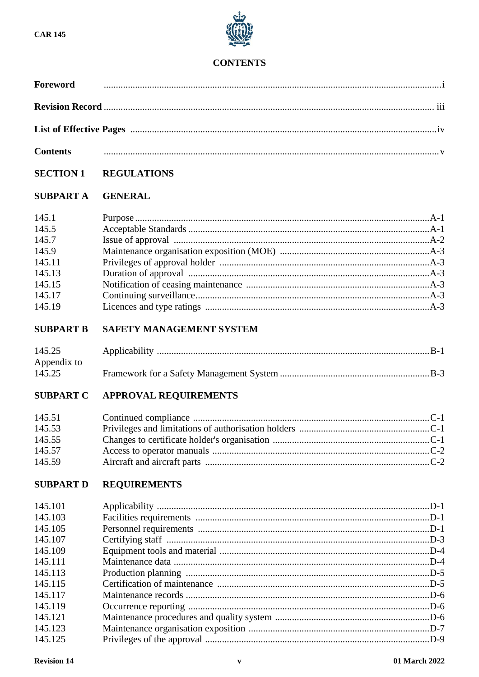

# **CONTENTS**

| Foreword           |                                 |  |
|--------------------|---------------------------------|--|
|                    |                                 |  |
|                    |                                 |  |
| <b>Contents</b>    |                                 |  |
| <b>SECTION 1</b>   | <b>REGULATIONS</b>              |  |
| <b>SUBPART A</b>   | <b>GENERAL</b>                  |  |
| 145.1              |                                 |  |
| 145.5              |                                 |  |
| 145.7              |                                 |  |
| 145.9              |                                 |  |
| 145.11             |                                 |  |
| 145.13             |                                 |  |
| 145.15             |                                 |  |
| 145.17             |                                 |  |
| 145.19             |                                 |  |
| <b>SUBPART B</b>   | <b>SAFETY MANAGEMENT SYSTEM</b> |  |
| 145.25             |                                 |  |
| Appendix to        |                                 |  |
| 145.25             |                                 |  |
| <b>SUBPART C</b>   | <b>APPROVAL REQUIREMENTS</b>    |  |
| 145.51             |                                 |  |
| 145.53             |                                 |  |
| 145.55             |                                 |  |
| 145.57             |                                 |  |
| 145.59             |                                 |  |
| <b>SUBPART D</b>   | <b>REQUIREMENTS</b>             |  |
| 145.101            |                                 |  |
| 145.103            |                                 |  |
| 145.105            |                                 |  |
| 145.107            |                                 |  |
| 145.109            |                                 |  |
| 145.111            |                                 |  |
| 145.113            |                                 |  |
| 145.115            |                                 |  |
| 145.117            |                                 |  |
|                    |                                 |  |
| 145.119<br>145.121 |                                 |  |
|                    |                                 |  |
| 145.123            |                                 |  |
| 145.125            |                                 |  |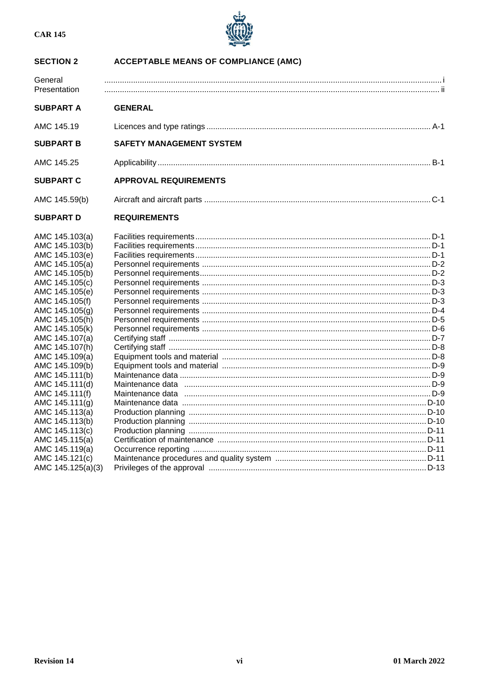

<span id="page-7-0"></span>

| <b>SECTION 2</b>                                                                                                                                                                                                                                            | <b>ACCEPTABLE MEANS OF COMPLIANCE (AMC)</b> |  |  |
|-------------------------------------------------------------------------------------------------------------------------------------------------------------------------------------------------------------------------------------------------------------|---------------------------------------------|--|--|
| General<br>Presentation                                                                                                                                                                                                                                     |                                             |  |  |
| <b>SUBPART A</b>                                                                                                                                                                                                                                            | <b>GENERAL</b>                              |  |  |
| AMC 145.19                                                                                                                                                                                                                                                  |                                             |  |  |
| <b>SUBPART B</b>                                                                                                                                                                                                                                            | <b>SAFETY MANAGEMENT SYSTEM</b>             |  |  |
| AMC 145.25                                                                                                                                                                                                                                                  |                                             |  |  |
| <b>SUBPART C</b>                                                                                                                                                                                                                                            | <b>APPROVAL REQUIREMENTS</b>                |  |  |
| AMC 145.59(b)                                                                                                                                                                                                                                               |                                             |  |  |
| <b>SUBPART D</b>                                                                                                                                                                                                                                            | <b>REQUIREMENTS</b>                         |  |  |
| AMC 145.103(a)<br>AMC 145.103(b)<br>AMC 145.103(e)<br>AMC 145.105(a)<br>AMC 145.105(b)<br>AMC 145.105(c)<br>AMC 145.105(e)<br>AMC 145.105(f)<br>AMC 145.105(g)<br>AMC 145.105(h)<br>AMC 145.105(k)<br>AMC 145.107(a)                                        |                                             |  |  |
| AMC 145.107(h)<br>AMC 145.109(a)<br>AMC 145.109(b)<br>AMC 145.111(b)<br>AMC 145.111(d)<br>AMC 145.111(f)<br>AMC 145.111(g)<br>AMC 145.113(a)<br>AMC 145.113(b)<br>AMC 145.113(c)<br>AMC 145.115(a)<br>AMC 145.119(a)<br>AMC 145.121(c)<br>AMC 145.125(a)(3) |                                             |  |  |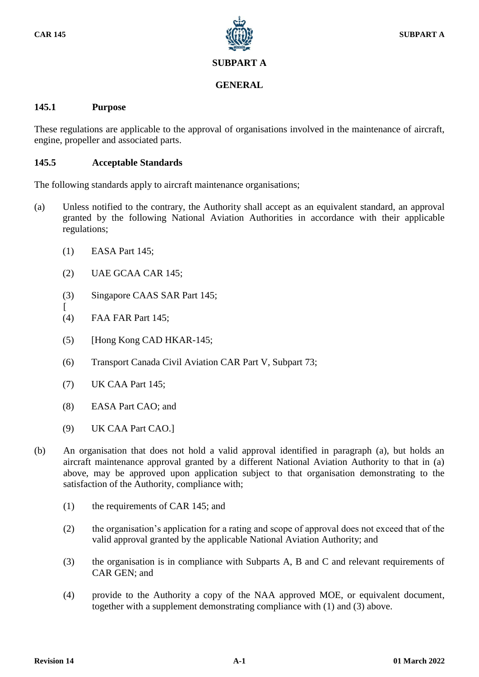

## **SUBPART A**

# **GENERAL**

## <span id="page-8-1"></span><span id="page-8-0"></span>**145.1 Purpose**

These regulations are applicable to the approval of organisations involved in the maintenance of aircraft, engine, propeller and associated parts.

## <span id="page-8-2"></span>**145.5 Acceptable Standards**

The following standards apply to aircraft maintenance organisations;

- (a) Unless notified to the contrary, the Authority shall accept as an equivalent standard, an approval granted by the following National Aviation Authorities in accordance with their applicable regulations;
	- (1) EASA Part 145;
	- (2) UAE GCAA CAR 145;
	- (3) Singapore CAAS SAR Part 145;
	- [ (4) FAA FAR Part 145;
	- (5) [Hong Kong CAD HKAR-145;
	- (6) Transport Canada Civil Aviation CAR Part V, Subpart 73;
	- (7) UK CAA Part 145;
	- (8) EASA Part CAO; and
	- (9) UK CAA Part CAO.]
- (b) An organisation that does not hold a valid approval identified in paragraph (a), but holds an aircraft maintenance approval granted by a different National Aviation Authority to that in (a) above, may be approved upon application subject to that organisation demonstrating to the satisfaction of the Authority, compliance with;
	- (1) the requirements of CAR 145; and
	- (2) the organisation's application for a rating and scope of approval does not exceed that of the valid approval granted by the applicable National Aviation Authority; and
	- (3) the organisation is in compliance with Subparts A, B and C and relevant requirements of CAR GEN; and
	- (4) provide to the Authority a copy of the NAA approved MOE, or equivalent document, together with a supplement demonstrating compliance with (1) and (3) above.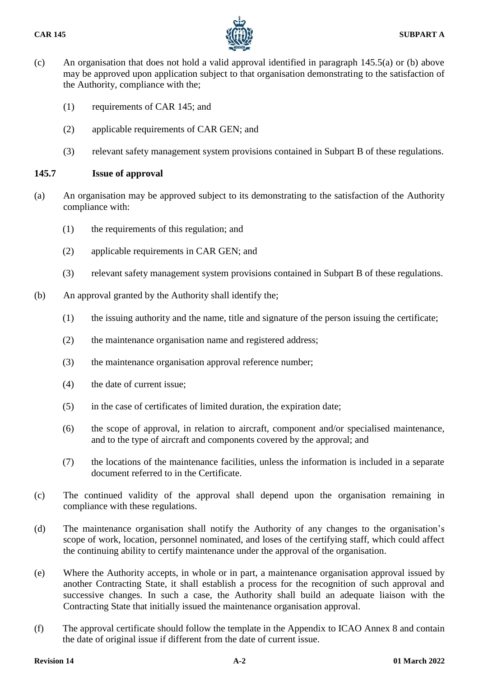

- (c) An organisation that does not hold a valid approval identified in paragraph 145.5(a) or (b) above may be approved upon application subject to that organisation demonstrating to the satisfaction of the Authority, compliance with the;
	- (1) requirements of CAR 145; and
	- (2) applicable requirements of CAR GEN; and
	- (3) relevant safety management system provisions contained in Subpart B of these regulations.

# <span id="page-9-0"></span>**145.7 Issue of approval**

- (a) An organisation may be approved subject to its demonstrating to the satisfaction of the Authority compliance with:
	- (1) the requirements of this regulation; and
	- (2) applicable requirements in CAR GEN; and
	- (3) relevant safety management system provisions contained in Subpart B of these regulations.
- (b) An approval granted by the Authority shall identify the;
	- (1) the issuing authority and the name, title and signature of the person issuing the certificate;
	- (2) the maintenance organisation name and registered address;
	- (3) the maintenance organisation approval reference number;
	- (4) the date of current issue;
	- (5) in the case of certificates of limited duration, the expiration date;
	- (6) the scope of approval, in relation to aircraft, component and/or specialised maintenance, and to the type of aircraft and components covered by the approval; and
	- (7) the locations of the maintenance facilities, unless the information is included in a separate document referred to in the Certificate.
- (c) The continued validity of the approval shall depend upon the organisation remaining in compliance with these regulations.
- (d) The maintenance organisation shall notify the Authority of any changes to the organisation's scope of work, location, personnel nominated, and loses of the certifying staff, which could affect the continuing ability to certify maintenance under the approval of the organisation.
- (e) Where the Authority accepts, in whole or in part, a maintenance organisation approval issued by another Contracting State, it shall establish a process for the recognition of such approval and successive changes. In such a case, the Authority shall build an adequate liaison with the Contracting State that initially issued the maintenance organisation approval.
- (f) The approval certificate should follow the template in the Appendix to ICAO Annex 8 and contain the date of original issue if different from the date of current issue.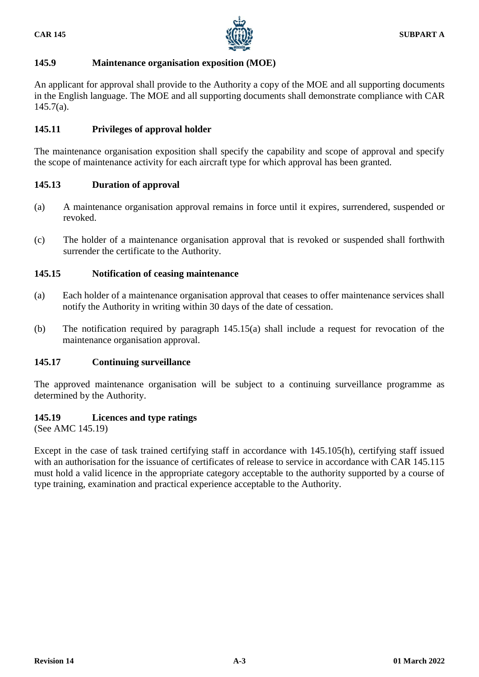

# <span id="page-10-0"></span>**145.9 Maintenance organisation exposition (MOE)**

An applicant for approval shall provide to the Authority a copy of the MOE and all supporting documents in the English language. The MOE and all supporting documents shall demonstrate compliance with CAR  $145.7(a)$ .

# <span id="page-10-1"></span>**145.11 Privileges of approval holder**

The maintenance organisation exposition shall specify the capability and scope of approval and specify the scope of maintenance activity for each aircraft type for which approval has been granted.

# <span id="page-10-2"></span>**145.13 Duration of approval**

- (a) A maintenance organisation approval remains in force until it expires, surrendered, suspended or revoked.
- (c) The holder of a maintenance organisation approval that is revoked or suspended shall forthwith surrender the certificate to the Authority.

# <span id="page-10-3"></span>**145.15 Notification of ceasing maintenance**

- (a) Each holder of a maintenance organisation approval that ceases to offer maintenance services shall notify the Authority in writing within 30 days of the date of cessation.
- (b) The notification required by paragraph 145.15(a) shall include a request for revocation of the maintenance organisation approval.

## <span id="page-10-4"></span>**145.17 Continuing surveillance**

The approved maintenance organisation will be subject to a continuing surveillance programme as determined by the Authority.

# <span id="page-10-5"></span>**145.19 Licences and type ratings**

[\(See AMC 145.19\)](#page-32-1)

Except in the case of task trained certifying staff in accordance with 145.105(h), certifying staff issued with an authorisation for the issuance of certificates of release to service in accordance with CAR 145.115 must hold a valid licence in the appropriate category acceptable to the authority supported by a course of type training, examination and practical experience acceptable to the Authority.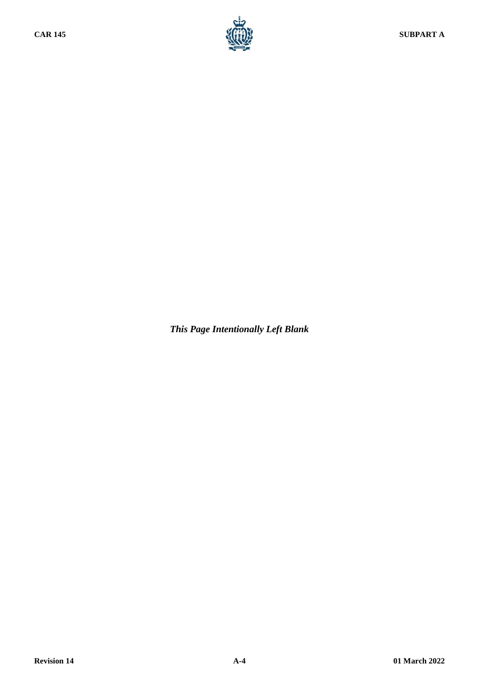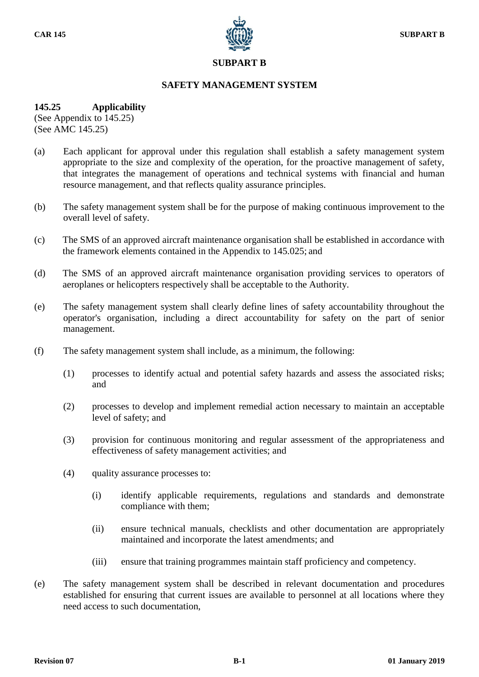

## **SUBPART B**

## **SAFETY MANAGEMENT SYSTEM**

## <span id="page-12-2"></span><span id="page-12-1"></span><span id="page-12-0"></span>**145.25 Applicability**

[\(See Appendix to 145.25\)](#page-14-0) [\(See AMC 145.25\)](#page-34-1)

- (a) Each applicant for approval under this regulation shall establish a safety management system appropriate to the size and complexity of the operation, for the proactive management of safety, that integrates the management of operations and technical systems with financial and human resource management, and that reflects quality assurance principles.
- (b) The safety management system shall be for the purpose of making continuous improvement to the overall level of safety.
- (c) The SMS of an approved aircraft maintenance organisation shall be established in accordance with the framework elements contained in the Appendix to 145.025; and
- (d) The SMS of an approved aircraft maintenance organisation providing services to operators of aeroplanes or helicopters respectively shall be acceptable to the Authority.
- (e) The safety management system shall clearly define lines of safety accountability throughout the operator's organisation, including a direct accountability for safety on the part of senior management.
- (f) The safety management system shall include, as a minimum, the following:
	- (1) processes to identify actual and potential safety hazards and assess the associated risks; and
	- (2) processes to develop and implement remedial action necessary to maintain an acceptable level of safety; and
	- (3) provision for continuous monitoring and regular assessment of the appropriateness and effectiveness of safety management activities; and
	- (4) quality assurance processes to:
		- (i) identify applicable requirements, regulations and standards and demonstrate compliance with them;
		- (ii) ensure technical manuals, checklists and other documentation are appropriately maintained and incorporate the latest amendments; and
		- (iii) ensure that training programmes maintain staff proficiency and competency.
- (e) The safety management system shall be described in relevant documentation and procedures established for ensuring that current issues are available to personnel at all locations where they need access to such documentation,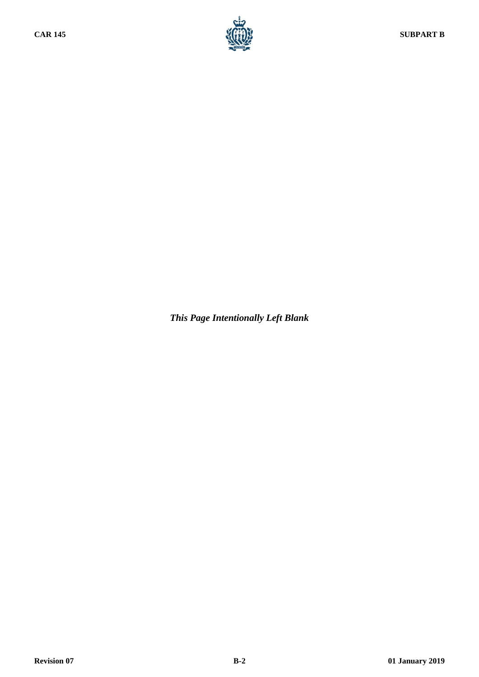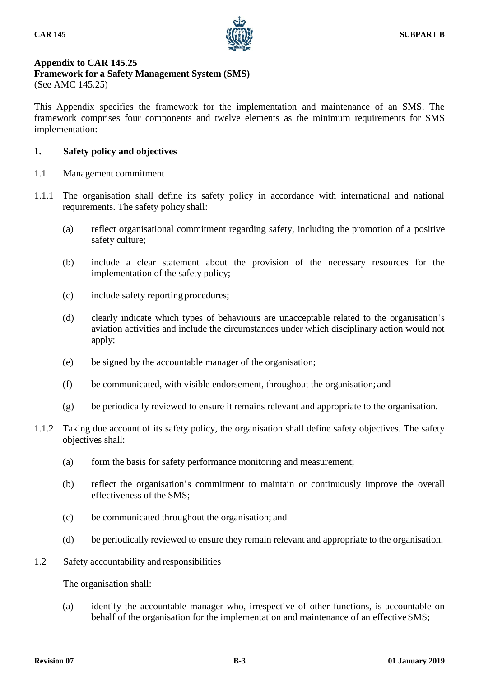

# <span id="page-14-0"></span>**Appendix to CAR 145.25**

#### **Framework for a Safety Management System (SMS)** [\(See AMC 145.25\)](#page-34-1)

This Appendix specifies the framework for the implementation and maintenance of an SMS. The framework comprises four components and twelve elements as the minimum requirements for SMS implementation:

# **1. Safety policy and objectives**

- 1.1 Management commitment
- 1.1.1 The organisation shall define its safety policy in accordance with international and national requirements. The safety policy shall:
	- (a) reflect organisational commitment regarding safety, including the promotion of a positive safety culture;
	- (b) include a clear statement about the provision of the necessary resources for the implementation of the safety policy;
	- (c) include safety reporting procedures;
	- (d) clearly indicate which types of behaviours are unacceptable related to the organisation's aviation activities and include the circumstances under which disciplinary action would not apply;
	- (e) be signed by the accountable manager of the organisation;
	- (f) be communicated, with visible endorsement, throughout the organisation; and
	- (g) be periodically reviewed to ensure it remains relevant and appropriate to the organisation.
- 1.1.2 Taking due account of its safety policy, the organisation shall define safety objectives. The safety objectives shall:
	- (a) form the basis for safety performance monitoring and measurement;
	- (b) reflect the organisation's commitment to maintain or continuously improve the overall effectiveness of the SMS;
	- (c) be communicated throughout the organisation; and
	- (d) be periodically reviewed to ensure they remain relevant and appropriate to the organisation.
- 1.2 Safety accountability and responsibilities

The organisation shall:

(a) identify the accountable manager who, irrespective of other functions, is accountable on behalf of the organisation for the implementation and maintenance of an effective SMS;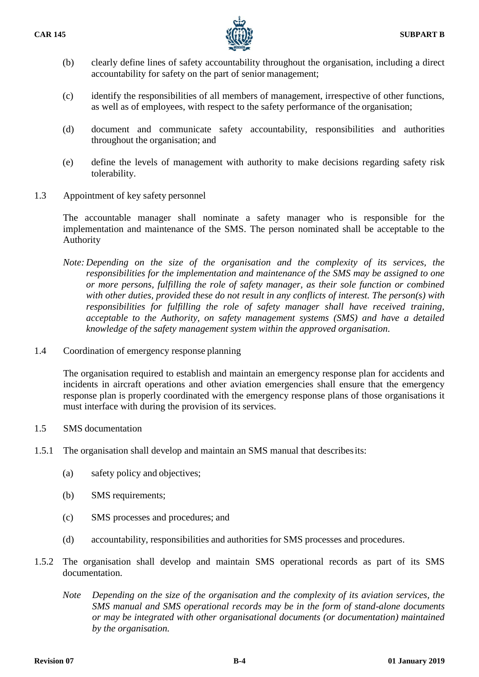

- (b) clearly define lines of safety accountability throughout the organisation, including a direct accountability for safety on the part of senior management;
- (c) identify the responsibilities of all members of management, irrespective of other functions, as well as of employees, with respect to the safety performance of the organisation;
- (d) document and communicate safety accountability, responsibilities and authorities throughout the organisation; and
- (e) define the levels of management with authority to make decisions regarding safety risk tolerability.
- 1.3 Appointment of key safety personnel

The accountable manager shall nominate a safety manager who is responsible for the implementation and maintenance of the SMS. The person nominated shall be acceptable to the Authority

- *Note: Depending on the size of the organisation and the complexity of its services, the responsibilities for the implementation and maintenance of the SMS may be assigned to one or more persons, fulfilling the role of safety manager, as their sole function or combined with other duties, provided these do not result in any conflicts of interest. The person(s) with responsibilities for fulfilling the role of safety manager shall have received training, acceptable to the Authority, on safety management systems (SMS) and have a detailed knowledge of the safety management system within the approved organisation.*
- 1.4 Coordination of emergency response planning

The organisation required to establish and maintain an emergency response plan for accidents and incidents in aircraft operations and other aviation emergencies shall ensure that the emergency response plan is properly coordinated with the emergency response plans of those organisations it must interface with during the provision of its services.

- 1.5 SMS documentation
- 1.5.1 The organisation shall develop and maintain an SMS manual that describesits:
	- (a) safety policy and objectives;
	- (b) SMS requirements;
	- (c) SMS processes and procedures; and
	- (d) accountability, responsibilities and authorities for SMS processes and procedures.
- 1.5.2 The organisation shall develop and maintain SMS operational records as part of its SMS documentation.
	- *Note Depending on the size of the organisation and the complexity of its aviation services, the SMS manual and SMS operational records may be in the form of stand-alone documents or may be integrated with other organisational documents (or documentation) maintained by the organisation.*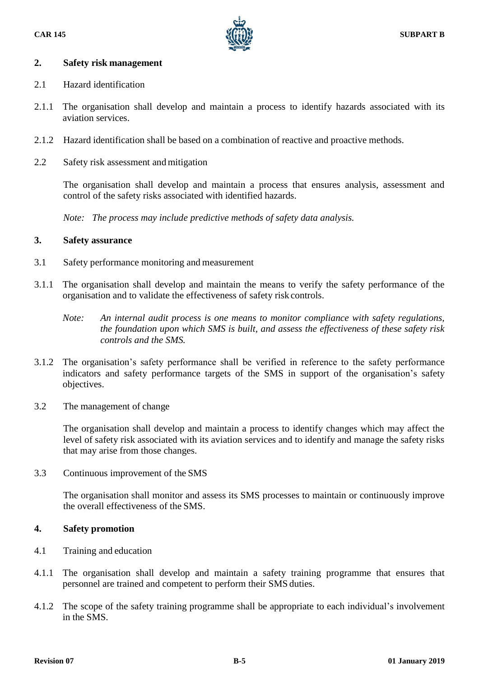

# **2. Safety risk management**

- 2.1 Hazard identification
- 2.1.1 The organisation shall develop and maintain a process to identify hazards associated with its aviation services.
- 2.1.2 Hazard identification shall be based on a combination of reactive and proactive methods.
- 2.2 Safety risk assessment and mitigation

The organisation shall develop and maintain a process that ensures analysis, assessment and control of the safety risks associated with identified hazards.

*Note: The process may include predictive methods of safety data analysis.*

#### **3. Safety assurance**

- 3.1 Safety performance monitoring and measurement
- 3.1.1 The organisation shall develop and maintain the means to verify the safety performance of the organisation and to validate the effectiveness of safety risk controls.
	- *Note: An internal audit process is one means to monitor compliance with safety regulations, the foundation upon which SMS is built, and assess the effectiveness of these safety risk controls and the SMS.*
- 3.1.2 The organisation's safety performance shall be verified in reference to the safety performance indicators and safety performance targets of the SMS in support of the organisation's safety objectives.
- 3.2 The management of change

The organisation shall develop and maintain a process to identify changes which may affect the level of safety risk associated with its aviation services and to identify and manage the safety risks that may arise from those changes.

3.3 Continuous improvement of the SMS

The organisation shall monitor and assess its SMS processes to maintain or continuously improve the overall effectiveness of the SMS.

## **4. Safety promotion**

- 4.1 Training and education
- 4.1.1 The organisation shall develop and maintain a safety training programme that ensures that personnel are trained and competent to perform their SMS duties.
- 4.1.2 The scope of the safety training programme shall be appropriate to each individual's involvement in the SMS.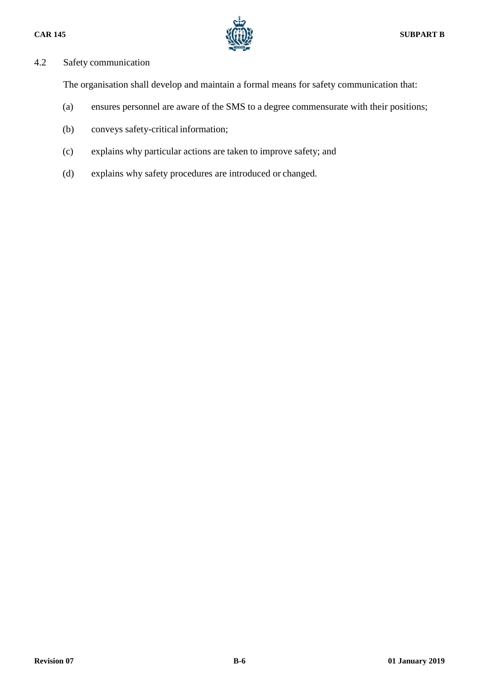

# 4.2 Safety communication

The organisation shall develop and maintain a formal means for safety communication that:

- (a) ensures personnel are aware of the SMS to a degree commensurate with their positions;
- (b) conveys safety-critical information;
- (c) explains why particular actions are taken to improve safety; and
- (d) explains why safety procedures are introduced or changed.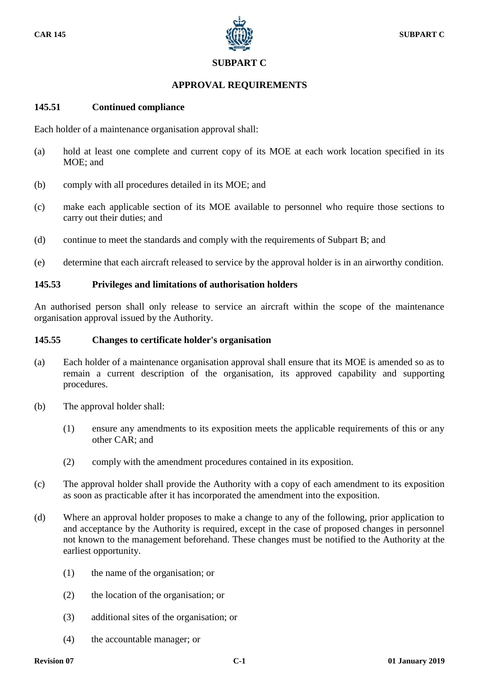

#### **SUBPART C**

## **APPROVAL REQUIREMENTS**

#### <span id="page-18-1"></span><span id="page-18-0"></span>**145.51 Continued compliance**

Each holder of a maintenance organisation approval shall:

- (a) hold at least one complete and current copy of its MOE at each work location specified in its MOE; and
- (b) comply with all procedures detailed in its MOE; and
- (c) make each applicable section of its MOE available to personnel who require those sections to carry out their duties; and
- (d) continue to meet the standards and comply with the requirements of Subpart B; and
- (e) determine that each aircraft released to service by the approval holder is in an airworthy condition.

#### <span id="page-18-2"></span>**145.53 Privileges and limitations of authorisation holders**

An authorised person shall only release to service an aircraft within the scope of the maintenance organisation approval issued by the Authority.

#### <span id="page-18-3"></span>**145.55 Changes to certificate holder's organisation**

- (a) Each holder of a maintenance organisation approval shall ensure that its MOE is amended so as to remain a current description of the organisation, its approved capability and supporting procedures.
- (b) The approval holder shall:
	- (1) ensure any amendments to its exposition meets the applicable requirements of this or any other CAR; and
	- (2) comply with the amendment procedures contained in its exposition.
- (c) The approval holder shall provide the Authority with a copy of each amendment to its exposition as soon as practicable after it has incorporated the amendment into the exposition.
- (d) Where an approval holder proposes to make a change to any of the following, prior application to and acceptance by the Authority is required, except in the case of proposed changes in personnel not known to the management beforehand. These changes must be notified to the Authority at the earliest opportunity.
	- (1) the name of the organisation; or
	- (2) the location of the organisation; or
	- (3) additional sites of the organisation; or
	- (4) the accountable manager; or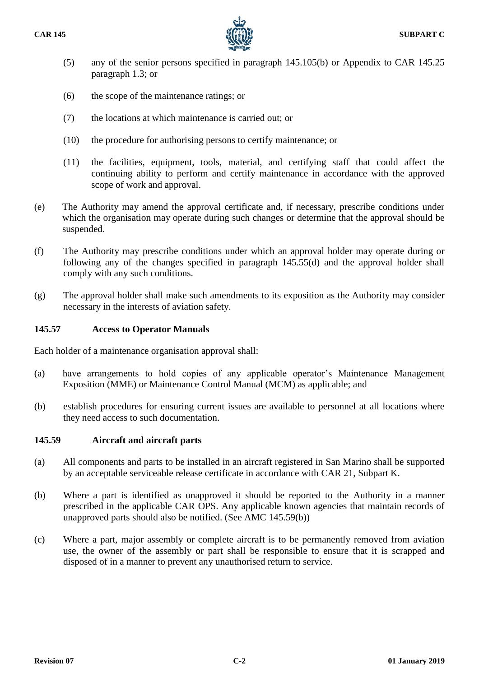

- (5) any of the senior persons specified in paragraph 145.105(b) or Appendix to CAR 145.25 paragraph 1.3; or
- (6) the scope of the maintenance ratings; or
- (7) the locations at which maintenance is carried out; or
- (10) the procedure for authorising persons to certify maintenance; or
- (11) the facilities, equipment, tools, material, and certifying staff that could affect the continuing ability to perform and certify maintenance in accordance with the approved scope of work and approval.
- (e) The Authority may amend the approval certificate and, if necessary, prescribe conditions under which the organisation may operate during such changes or determine that the approval should be suspended.
- (f) The Authority may prescribe conditions under which an approval holder may operate during or following any of the changes specified in paragraph 145.55(d) and the approval holder shall comply with any such conditions.
- (g) The approval holder shall make such amendments to its exposition as the Authority may consider necessary in the interests of aviation safety.

# <span id="page-19-0"></span>**145.57 Access to Operator Manuals**

Each holder of a maintenance organisation approval shall:

- (a) have arrangements to hold copies of any applicable operator's Maintenance Management Exposition (MME) or Maintenance Control Manual (MCM) as applicable; and
- (b) establish procedures for ensuring current issues are available to personnel at all locations where they need access to such documentation.

# <span id="page-19-1"></span>**145.59 Aircraft and aircraft parts**

- (a) All components and parts to be installed in an aircraft registered in San Marino shall be supported by an acceptable serviceable release certificate in accordance with CAR 21, Subpart K.
- (b) Where a part is identified as unapproved it should be reported to the Authority in a manner prescribed in the applicable CAR OPS. Any applicable known agencies that maintain records of unapproved parts should also be notified. [\(See AMC 145.59\(b\)\)](#page-36-1)
- (c) Where a part, major assembly or complete aircraft is to be permanently removed from aviation use, the owner of the assembly or part shall be responsible to ensure that it is scrapped and disposed of in a manner to prevent any unauthorised return to service.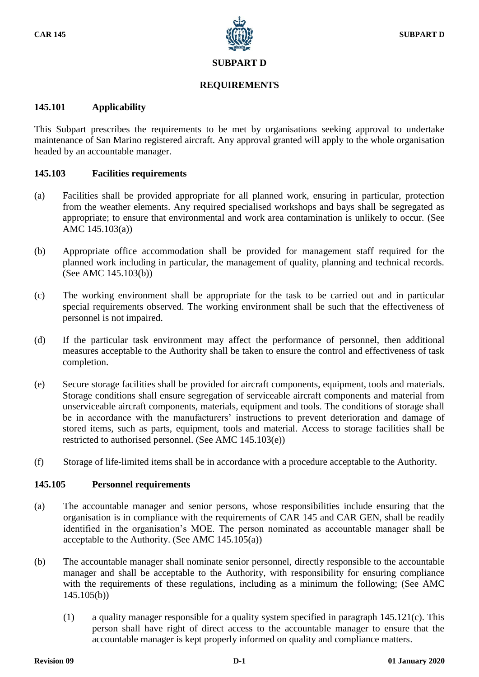

#### **SUBPART D**

#### **REQUIREMENTS**

#### <span id="page-20-1"></span><span id="page-20-0"></span>**145.101 Applicability**

This Subpart prescribes the requirements to be met by organisations seeking approval to undertake maintenance of San Marino registered aircraft. Any approval granted will apply to the whole organisation headed by an accountable manager.

#### <span id="page-20-2"></span>**145.103 Facilities requirements**

- (a) Facilities shall be provided appropriate for all planned work, ensuring in particular, protection from the weather elements. Any required specialised workshops and bays shall be segregated as appropriate; to ensure that environmental and work area contamination is unlikely to occur. [\(See](#page-38-1)  [AMC 145.103\(a\)\)](#page-38-1)
- (b) Appropriate office accommodation shall be provided for management staff required for the planned work including in particular, the management of quality, planning and technical records. [\(See AMC 145.103\(b\)\)](#page-38-2)
- (c) The working environment shall be appropriate for the task to be carried out and in particular special requirements observed. The working environment shall be such that the effectiveness of personnel is not impaired.
- (d) If the particular task environment may affect the performance of personnel, then additional measures acceptable to the Authority shall be taken to ensure the control and effectiveness of task completion.
- (e) Secure storage facilities shall be provided for aircraft components, equipment, tools and materials. Storage conditions shall ensure segregation of serviceable aircraft components and material from unserviceable aircraft components, materials, equipment and tools. The conditions of storage shall be in accordance with the manufacturers' instructions to prevent deterioration and damage of stored items, such as parts, equipment, tools and material. Access to storage facilities shall be restricted to authorised personnel. [\(See AMC 145.103\(e\)\)](#page-38-3)
- (f) Storage of life-limited items shall be in accordance with a procedure acceptable to the Authority.

#### <span id="page-20-3"></span>**145.105 Personnel requirements**

- (a) The accountable manager and senior persons, whose responsibilities include ensuring that the organisation is in compliance with the requirements of CAR 145 and CAR GEN, shall be readily identified in the organisation's MOE. The person nominated as accountable manager shall be acceptable to the Authority. [\(See AMC 145.105\(a\)\)](#page-38-4)
- (b) The accountable manager shall nominate senior personnel, directly responsible to the accountable manager and shall be acceptable to the Authority, with responsibility for ensuring compliance with the requirements of these regulations, including as a minimum the following; [\(See AMC](#page-39-0)  [145.105\(b\)\)](#page-39-0)
	- (1) a quality manager responsible for a quality system specified in paragraph 145.121(c). This person shall have right of direct access to the accountable manager to ensure that the accountable manager is kept properly informed on quality and compliance matters.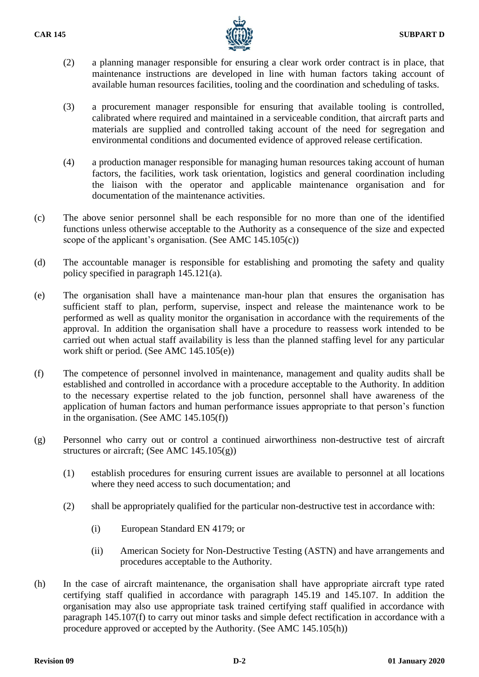

- (2) a planning manager responsible for ensuring a clear work order contract is in place, that maintenance instructions are developed in line with human factors taking account of available human resources facilities, tooling and the coordination and scheduling of tasks.
- (3) a procurement manager responsible for ensuring that available tooling is controlled, calibrated where required and maintained in a serviceable condition, that aircraft parts and materials are supplied and controlled taking account of the need for segregation and environmental conditions and documented evidence of approved release certification.
- (4) a production manager responsible for managing human resources taking account of human factors, the facilities, work task orientation, logistics and general coordination including the liaison with the operator and applicable maintenance organisation and for documentation of the maintenance activities.
- (c) The above senior personnel shall be each responsible for no more than one of the identified functions unless otherwise acceptable to the Authority as a consequence of the size and expected scope of the applicant's organisation. [\(See AMC 145.105\(c\)\)](#page-39-1)
- (d) The accountable manager is responsible for establishing and promoting the safety and quality policy specified in paragraph 145.121(a).
- (e) The organisation shall have a maintenance man-hour plan that ensures the organisation has sufficient staff to plan, perform, supervise, inspect and release the maintenance work to be performed as well as quality monitor the organisation in accordance with the requirements of the approval. In addition the organisation shall have a procedure to reassess work intended to be carried out when actual staff availability is less than the planned staffing level for any particular work shift or period. [\(See AMC 145.105\(e\)\)](#page-40-0)
- (f) The competence of personnel involved in maintenance, management and quality audits shall be established and controlled in accordance with a procedure acceptable to the Authority. In addition to the necessary expertise related to the job function, personnel shall have awareness of the application of human factors and human performance issues appropriate to that person's function in the organisation. [\(See AMC 145.105\(f\)\)](#page-40-1)
- (g) Personnel who carry out or control a continued airworthiness non-destructive test of aircraft structures or aircraft; [\(See AMC 145.105\(g\)\)](#page-41-0)
	- (1) establish procedures for ensuring current issues are available to personnel at all locations where they need access to such documentation; and
	- (2) shall be appropriately qualified for the particular non-destructive test in accordance with:
		- (i) European Standard EN 4179; or
		- (ii) American Society for Non-Destructive Testing (ASTN) and have arrangements and procedures acceptable to the Authority.
- (h) In the case of aircraft maintenance, the organisation shall have appropriate aircraft type rated certifying staff qualified in accordance with paragraph 145.19 and 145.107. In addition the organisation may also use appropriate task trained certifying staff qualified in accordance with paragraph 145.107(f) to carry out minor tasks and simple defect rectification in accordance with a procedure approved or accepted by the Authority. [\(See AMC 145.105\(h\)\)](#page-41-1)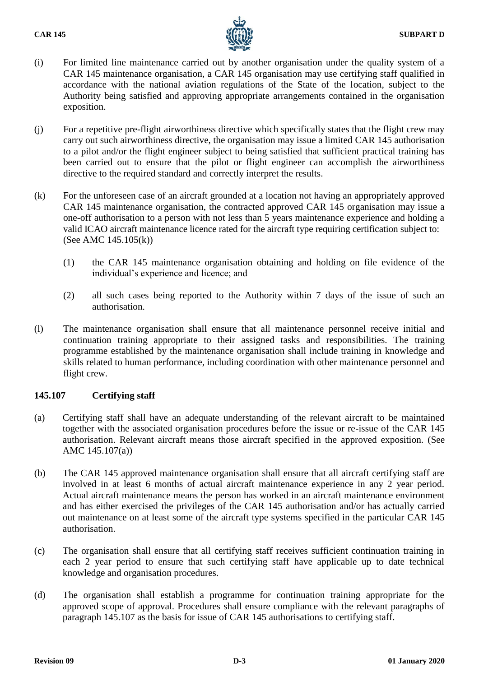

- (i) For limited line maintenance carried out by another organisation under the quality system of a CAR 145 maintenance organisation, a CAR 145 organisation may use certifying staff qualified in accordance with the national aviation regulations of the State of the location, subject to the Authority being satisfied and approving appropriate arrangements contained in the organisation exposition.
- (j) For a repetitive pre-flight airworthiness directive which specifically states that the flight crew may carry out such airworthiness directive, the organisation may issue a limited CAR 145 authorisation to a pilot and/or the flight engineer subject to being satisfied that sufficient practical training has been carried out to ensure that the pilot or flight engineer can accomplish the airworthiness directive to the required standard and correctly interpret the results.
- (k) For the unforeseen case of an aircraft grounded at a location not having an appropriately approved CAR 145 maintenance organisation, the contracted approved CAR 145 organisation may issue a one-off authorisation to a person with not less than 5 years maintenance experience and holding a valid ICAO aircraft maintenance licence rated for the aircraft type requiring certification subject to: [\(See AMC 145.105\(k\)\)](#page-43-0)
	- (1) the CAR 145 maintenance organisation obtaining and holding on file evidence of the individual's experience and licence; and
	- (2) all such cases being reported to the Authority within 7 days of the issue of such an authorisation.
- (l) The maintenance organisation shall ensure that all maintenance personnel receive initial and continuation training appropriate to their assigned tasks and responsibilities. The training programme established by the maintenance organisation shall include training in knowledge and skills related to human performance, including coordination with other maintenance personnel and flight crew.

# <span id="page-22-0"></span>**145.107 Certifying staff**

- (a) Certifying staff shall have an adequate understanding of the relevant aircraft to be maintained together with the associated organisation procedures before the issue or re-issue of the CAR 145 authorisation. Relevant aircraft means those aircraft specified in the approved exposition. [\(See](#page-44-0)  [AMC 145.107\(a\)\)](#page-44-0)
- (b) The CAR 145 approved maintenance organisation shall ensure that all aircraft certifying staff are involved in at least 6 months of actual aircraft maintenance experience in any 2 year period. Actual aircraft maintenance means the person has worked in an aircraft maintenance environment and has either exercised the privileges of the CAR 145 authorisation and/or has actually carried out maintenance on at least some of the aircraft type systems specified in the particular CAR 145 authorisation.
- (c) The organisation shall ensure that all certifying staff receives sufficient continuation training in each 2 year period to ensure that such certifying staff have applicable up to date technical knowledge and organisation procedures.
- (d) The organisation shall establish a programme for continuation training appropriate for the approved scope of approval. Procedures shall ensure compliance with the relevant paragraphs of paragraph 145.107 as the basis for issue of CAR 145 authorisations to certifying staff.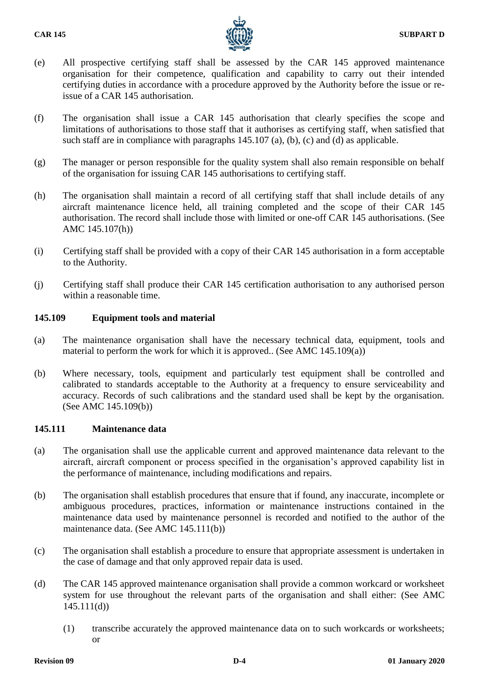- (e) All prospective certifying staff shall be assessed by the CAR 145 approved maintenance organisation for their competence, qualification and capability to carry out their intended certifying duties in accordance with a procedure approved by the Authority before the issue or reissue of a CAR 145 authorisation.
- (f) The organisation shall issue a CAR 145 authorisation that clearly specifies the scope and limitations of authorisations to those staff that it authorises as certifying staff, when satisfied that such staff are in compliance with paragraphs  $145.107$  (a), (b), (c) and (d) as applicable.
- (g) The manager or person responsible for the quality system shall also remain responsible on behalf of the organisation for issuing CAR 145 authorisations to certifying staff.
- (h) The organisation shall maintain a record of all certifying staff that shall include details of any aircraft maintenance licence held, all training completed and the scope of their CAR 145 authorisation. The record shall include those with limited or one-off CAR 145 authorisations. [\(See](#page-45-0)  [AMC 145.107\(h\)\)](#page-45-0)
- (i) Certifying staff shall be provided with a copy of their CAR 145 authorisation in a form acceptable to the Authority.
- (j) Certifying staff shall produce their CAR 145 certification authorisation to any authorised person within a reasonable time.

# <span id="page-23-0"></span>**145.109 Equipment tools and material**

- (a) The maintenance organisation shall have the necessary technical data, equipment, tools and material to perform the work for which it is approved[.. \(See AMC 145.109\(a\)\)](#page-45-1)
- (b) Where necessary, tools, equipment and particularly test equipment shall be controlled and calibrated to standards acceptable to the Authority at a frequency to ensure serviceability and accuracy. Records of such calibrations and the standard used shall be kept by the organisation. [\(See AMC 145.109\(b\)\)](#page-46-0)

## <span id="page-23-1"></span>**145.111 Maintenance data**

- (a) The organisation shall use the applicable current and approved maintenance data relevant to the aircraft, aircraft component or process specified in the organisation's approved capability list in the performance of maintenance, including modifications and repairs.
- (b) The organisation shall establish procedures that ensure that if found, any inaccurate, incomplete or ambiguous procedures, practices, information or maintenance instructions contained in the maintenance data used by maintenance personnel is recorded and notified to the author of the maintenance dat[a. \(See AMC 145.111\(b\)\)](#page-46-1)
- (c) The organisation shall establish a procedure to ensure that appropriate assessment is undertaken in the case of damage and that only approved repair data is used.
- (d) The CAR 145 approved maintenance organisation shall provide a common workcard or worksheet system for use throughout the relevant parts of the organisation and shall either: [\(See AMC](#page-46-2)   $145.111(d)$ 
	- (1) transcribe accurately the approved maintenance data on to such workcards or worksheets; or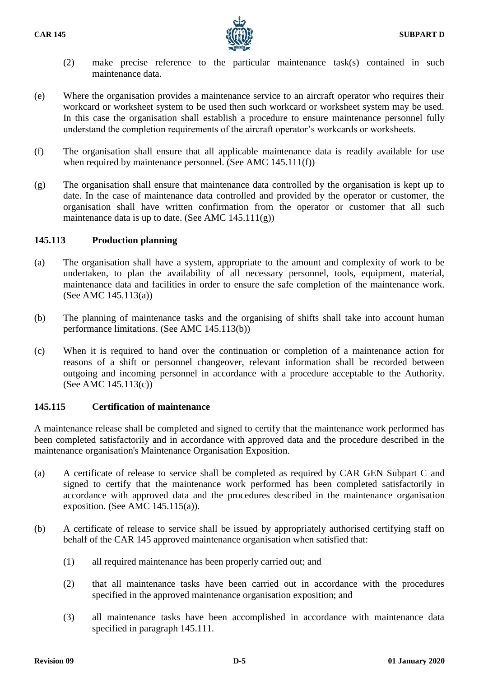- (2) make precise reference to the particular maintenance task(s) contained in such maintenance data.
- (e) Where the organisation provides a maintenance service to an aircraft operator who requires their workcard or worksheet system to be used then such workcard or worksheet system may be used. In this case the organisation shall establish a procedure to ensure maintenance personnel fully understand the completion requirements of the aircraft operator's workcards or worksheets.
- (f) The organisation shall ensure that all applicable maintenance data is readily available for use when required by maintenance personne[l. \(See AMC 145.111\(f\)\)](#page-46-3)
- (g) The organisation shall ensure that maintenance data controlled by the organisation is kept up to date. In the case of maintenance data controlled and provided by the operator or customer, the organisation shall have written confirmation from the operator or customer that all such maintenance data is up to date. (See AMC  $145.111(g)$ )

# <span id="page-24-0"></span>**145.113 Production planning**

- (a) The organisation shall have a system, appropriate to the amount and complexity of work to be undertaken, to plan the availability of all necessary personnel, tools, equipment, material, maintenance data and facilities in order to ensure the safe completion of the maintenance work. [\(See AMC 145.113\(a\)\)](#page-47-1)
- (b) The planning of maintenance tasks and the organising of shifts shall take into account human performance limitations. [\(See AMC 145.113\(b\)\)](#page-47-2)
- (c) When it is required to hand over the continuation or completion of a maintenance action for reasons of a shift or personnel changeover, relevant information shall be recorded between outgoing and incoming personnel in accordance with a procedure acceptable to the Authority. [\(See AMC 145.113\(c\)\)](#page-47-3)

# <span id="page-24-1"></span>**145.115 Certification of maintenance**

A maintenance release shall be completed and signed to certify that the maintenance work performed has been completed satisfactorily and in accordance with approved data and the procedure described in the maintenance organisation's Maintenance Organisation Exposition.

- (a) A certificate of release to service shall be completed as required by CAR GEN Subpart C and signed to certify that the maintenance work performed has been completed satisfactorily in accordance with approved data and the procedures described in the maintenance organisation exposition. [\(See AMC 145.115\(a\)\).](#page-48-0)
- (b) A certificate of release to service shall be issued by appropriately authorised certifying staff on behalf of the CAR 145 approved maintenance organisation when satisfied that:
	- (1) all required maintenance has been properly carried out; and
	- (2) that all maintenance tasks have been carried out in accordance with the procedures specified in the approved maintenance organisation exposition; and
	- (3) all maintenance tasks have been accomplished in accordance with maintenance data specified in paragraph 145.111.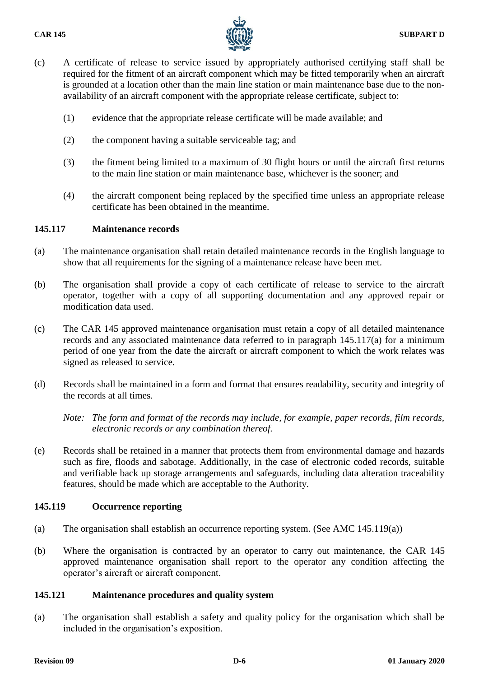

- (c) A certificate of release to service issued by appropriately authorised certifying staff shall be required for the fitment of an aircraft component which may be fitted temporarily when an aircraft is grounded at a location other than the main line station or main maintenance base due to the nonavailability of an aircraft component with the appropriate release certificate, subject to:
	- (1) evidence that the appropriate release certificate will be made available; and
	- (2) the component having a suitable serviceable tag; and
	- (3) the fitment being limited to a maximum of 30 flight hours or until the aircraft first returns to the main line station or main maintenance base, whichever is the sooner; and
	- (4) the aircraft component being replaced by the specified time unless an appropriate release certificate has been obtained in the meantime.

# <span id="page-25-0"></span>**145.117 Maintenance records**

- (a) The maintenance organisation shall retain detailed maintenance records in the English language to show that all requirements for the signing of a maintenance release have been met.
- (b) The organisation shall provide a copy of each certificate of release to service to the aircraft operator, together with a copy of all supporting documentation and any approved repair or modification data used.
- (c) The CAR 145 approved maintenance organisation must retain a copy of all detailed maintenance records and any associated maintenance data referred to in paragraph 145.117(a) for a minimum period of one year from the date the aircraft or aircraft component to which the work relates was signed as released to service.
- (d) Records shall be maintained in a form and format that ensures readability, security and integrity of the records at all times.

*Note: The form and format of the records may include, for example, paper records, film records, electronic records or any combination thereof.*

(e) Records shall be retained in a manner that protects them from environmental damage and hazards such as fire, floods and sabotage. Additionally, in the case of electronic coded records, suitable and verifiable back up storage arrangements and safeguards, including data alteration traceability features, should be made which are acceptable to the Authority.

# <span id="page-25-1"></span>**145.119 Occurrence reporting**

- (a) The organisation shall establish an occurrence reporting system. [\(See AMC 145.119\(a\)\)](#page-48-1)
- (b) Where the organisation is contracted by an operator to carry out maintenance, the CAR 145 approved maintenance organisation shall report to the operator any condition affecting the operator's aircraft or aircraft component.

## <span id="page-25-2"></span>**145.121 Maintenance procedures and quality system**

(a) The organisation shall establish a safety and quality policy for the organisation which shall be included in the organisation's exposition.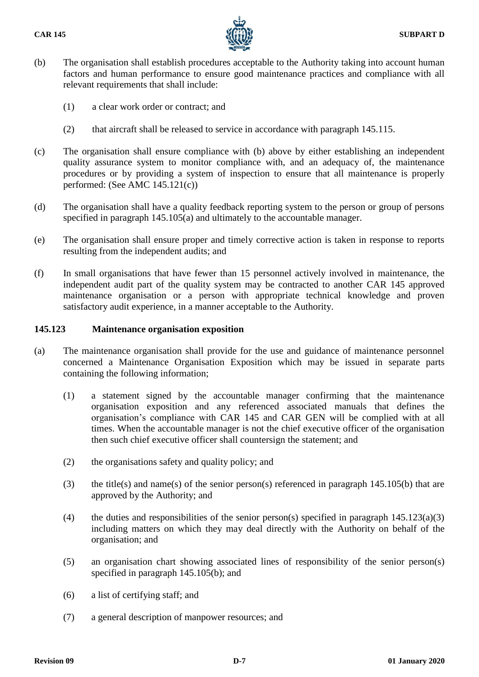- (b) The organisation shall establish procedures acceptable to the Authority taking into account human factors and human performance to ensure good maintenance practices and compliance with all relevant requirements that shall include:
	- (1) a clear work order or contract; and
	- (2) that aircraft shall be released to service in accordance with paragraph 145.115.
- (c) The organisation shall ensure compliance with (b) above by either establishing an independent quality assurance system to monitor compliance with, and an adequacy of, the maintenance procedures or by providing a system of inspection to ensure that all maintenance is properly performed: [\(See AMC 145.121\(c\)\)](#page-48-2)
- (d) The organisation shall have a quality feedback reporting system to the person or group of persons specified in paragraph 145.105(a) and ultimately to the accountable manager.
- (e) The organisation shall ensure proper and timely corrective action is taken in response to reports resulting from the independent audits; and
- (f) In small organisations that have fewer than 15 personnel actively involved in maintenance, the independent audit part of the quality system may be contracted to another CAR 145 approved maintenance organisation or a person with appropriate technical knowledge and proven satisfactory audit experience, in a manner acceptable to the Authority.

# <span id="page-26-0"></span>**145.123 Maintenance organisation exposition**

- (a) The maintenance organisation shall provide for the use and guidance of maintenance personnel concerned a Maintenance Organisation Exposition which may be issued in separate parts containing the following information;
	- (1) a statement signed by the accountable manager confirming that the maintenance organisation exposition and any referenced associated manuals that defines the organisation's compliance with CAR 145 and CAR GEN will be complied with at all times. When the accountable manager is not the chief executive officer of the organisation then such chief executive officer shall countersign the statement; and
	- (2) the organisations safety and quality policy; and
	- (3) the title(s) and name(s) of the senior person(s) referenced in paragraph 145.105(b) that are approved by the Authority; and
	- (4) the duties and responsibilities of the senior person(s) specified in paragraph  $145.123(a)(3)$ including matters on which they may deal directly with the Authority on behalf of the organisation; and
	- (5) an organisation chart showing associated lines of responsibility of the senior person(s) specified in paragraph 145.105(b); and
	- (6) a list of certifying staff; and
	- (7) a general description of manpower resources; and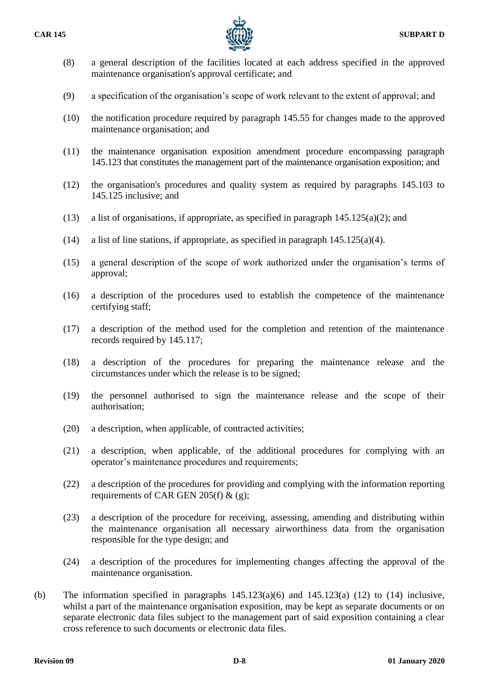- (8) a general description of the facilities located at each address specified in the approved maintenance organisation's approval certificate; and
- (9) a specification of the organisation's scope of work relevant to the extent of approval; and
- (10) the notification procedure required by paragraph 145.55 for changes made to the approved maintenance organisation; and
- (11) the maintenance organisation exposition amendment procedure encompassing paragraph 145.123 that constitutes the management part of the maintenance organisation exposition; and
- (12) the organisation's procedures and quality system as required by paragraphs 145.103 to 145.125 inclusive; and
- (13) a list of organisations, if appropriate, as specified in paragraph  $145.125(a)(2)$ ; and
- (14) a list of line stations, if appropriate, as specified in paragraph 145.125(a)(4).
- (15) a general description of the scope of work authorized under the organisation's terms of approval;
- (16) a description of the procedures used to establish the competence of the maintenance certifying staff;
- (17) a description of the method used for the completion and retention of the maintenance records required by 145.117;
- (18) a description of the procedures for preparing the maintenance release and the circumstances under which the release is to be signed;
- (19) the personnel authorised to sign the maintenance release and the scope of their authorisation;
- (20) a description, when applicable, of contracted activities;
- (21) a description, when applicable, of the additional procedures for complying with an operator's maintenance procedures and requirements;
- (22) a description of the procedures for providing and complying with the information reporting requirements of CAR GEN 205(f)  $\&$  (g);
- (23) a description of the procedure for receiving, assessing, amending and distributing within the maintenance organisation all necessary airworthiness data from the organisation responsible for the type design; and
- (24) a description of the procedures for implementing changes affecting the approval of the maintenance organisation.
- (b) The information specified in paragraphs  $145.123(a)(6)$  and  $145.123(a)(12)$  to  $(14)$  inclusive, whilst a part of the maintenance organisation exposition, may be kept as separate documents or on separate electronic data files subject to the management part of said exposition containing a clear cross reference to such documents or electronic data files.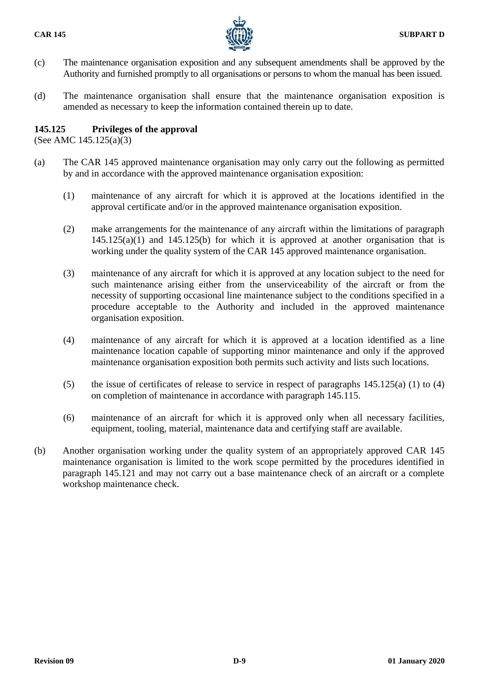

- (c) The maintenance organisation exposition and any subsequent amendments shall be approved by the Authority and furnished promptly to all organisations or persons to whom the manual has been issued.
- (d) The maintenance organisation shall ensure that the maintenance organisation exposition is amended as necessary to keep the information contained therein up to date.

## <span id="page-28-0"></span>**145.125 Privileges of the approval**

[\(See AMC 145.125\(a\)\(3\)](#page-50-0)

- (a) The CAR 145 approved maintenance organisation may only carry out the following as permitted by and in accordance with the approved maintenance organisation exposition:
	- (1) maintenance of any aircraft for which it is approved at the locations identified in the approval certificate and/or in the approved maintenance organisation exposition.
	- (2) make arrangements for the maintenance of any aircraft within the limitations of paragraph  $145.125(a)(1)$  and  $145.125(b)$  for which it is approved at another organisation that is working under the quality system of the CAR 145 approved maintenance organisation.
	- (3) maintenance of any aircraft for which it is approved at any location subject to the need for such maintenance arising either from the unserviceability of the aircraft or from the necessity of supporting occasional line maintenance subject to the conditions specified in a procedure acceptable to the Authority and included in the approved maintenance organisation exposition.
	- (4) maintenance of any aircraft for which it is approved at a location identified as a line maintenance location capable of supporting minor maintenance and only if the approved maintenance organisation exposition both permits such activity and lists such locations.
	- (5) the issue of certificates of release to service in respect of paragraphs  $145.125(a)$  (1) to (4) on completion of maintenance in accordance with paragraph 145.115.
	- (6) maintenance of an aircraft for which it is approved only when all necessary facilities, equipment, tooling, material, maintenance data and certifying staff are available.
- (b) Another organisation working under the quality system of an appropriately approved CAR 145 maintenance organisation is limited to the work scope permitted by the procedures identified in paragraph 145.121 and may not carry out a base maintenance check of an aircraft or a complete workshop maintenance check.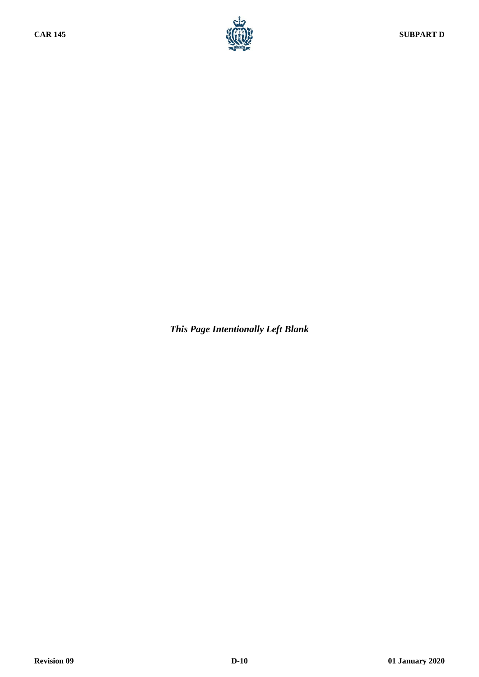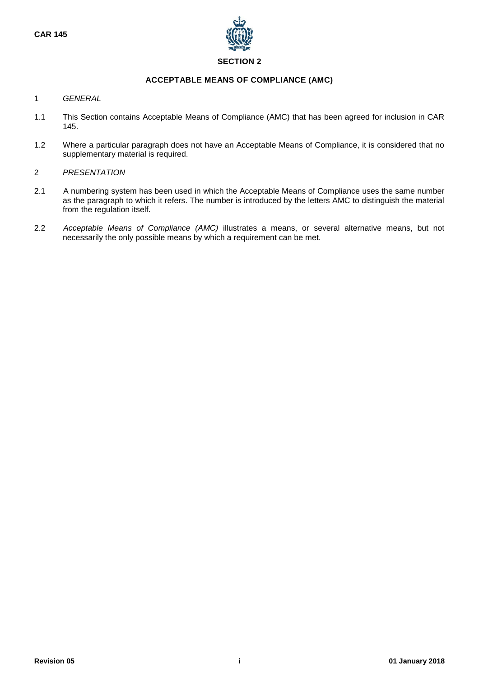

#### **SECTION 2**

#### **ACCEPTABLE MEANS OF COMPLIANCE (AMC)**

- <span id="page-30-0"></span>1 *GENERAL*
- 1.1 This Section contains Acceptable Means of Compliance (AMC) that has been agreed for inclusion in CAR 145.
- 1.2 Where a particular paragraph does not have an Acceptable Means of Compliance, it is considered that no supplementary material is required.
- 2 *PRESENTATION*
- 2.1 A numbering system has been used in which the Acceptable Means of Compliance uses the same number as the paragraph to which it refers. The number is introduced by the letters AMC to distinguish the material from the regulation itself.
- 2.2 *Acceptable Means of Compliance (AMC)* illustrates a means, or several alternative means, but not necessarily the only possible means by which a requirement can be met.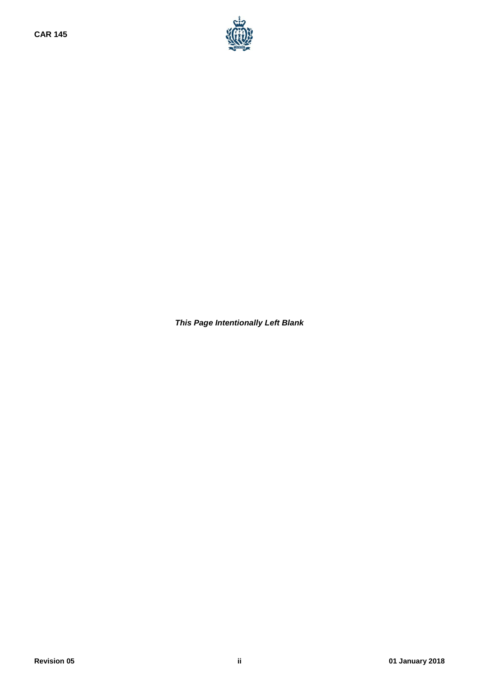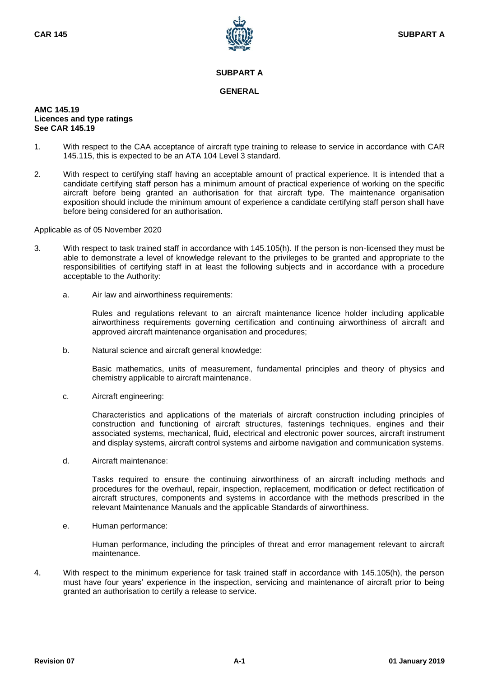

#### **SUBPART A**

#### **GENERAL**

#### <span id="page-32-1"></span><span id="page-32-0"></span>**AMC 145.19 Licences and type ratings See CAR 145.19**

- 1. With respect to the CAA acceptance of aircraft type training to release to service in accordance with CAR 145.115, this is expected to be an ATA 104 Level 3 standard.
- 2. With respect to certifying staff having an acceptable amount of practical experience. It is intended that a candidate certifying staff person has a minimum amount of practical experience of working on the specific aircraft before being granted an authorisation for that aircraft type. The maintenance organisation exposition should include the minimum amount of experience a candidate certifying staff person shall have before being considered for an authorisation.

#### Applicable as of 05 November 2020

- 3. With respect to task trained staff in accordance with 145.105(h). If the person is non-licensed they must be able to demonstrate a level of knowledge relevant to the privileges to be granted and appropriate to the responsibilities of certifying staff in at least the following subjects and in accordance with a procedure acceptable to the Authority:
	- a. Air law and airworthiness requirements:

Rules and regulations relevant to an aircraft maintenance licence holder including applicable airworthiness requirements governing certification and continuing airworthiness of aircraft and approved aircraft maintenance organisation and procedures;

b. Natural science and aircraft general knowledge:

Basic mathematics, units of measurement, fundamental principles and theory of physics and chemistry applicable to aircraft maintenance.

c. Aircraft engineering:

Characteristics and applications of the materials of aircraft construction including principles of construction and functioning of aircraft structures, fastenings techniques, engines and their associated systems, mechanical, fluid, electrical and electronic power sources, aircraft instrument and display systems, aircraft control systems and airborne navigation and communication systems.

d. Aircraft maintenance:

Tasks required to ensure the continuing airworthiness of an aircraft including methods and procedures for the overhaul, repair, inspection, replacement, modification or defect rectification of aircraft structures, components and systems in accordance with the methods prescribed in the relevant Maintenance Manuals and the applicable Standards of airworthiness.

e. Human performance:

Human performance, including the principles of threat and error management relevant to aircraft maintenance.

4. With respect to the minimum experience for task trained staff in accordance with 145.105(h), the person must have four years' experience in the inspection, servicing and maintenance of aircraft prior to being granted an authorisation to certify a release to service.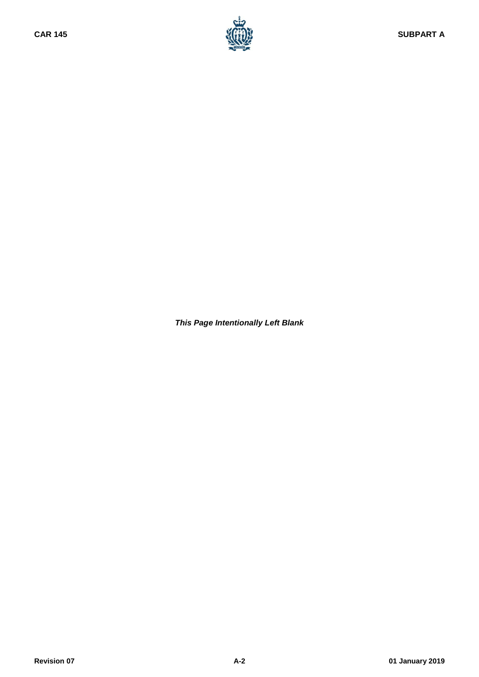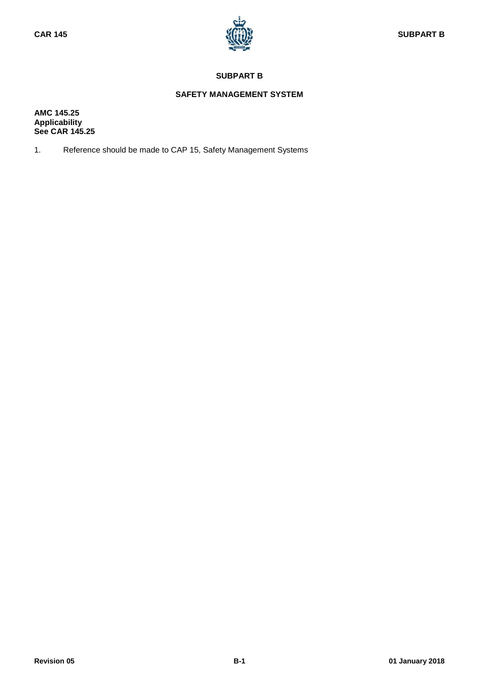

# **[SUBPART B](#page-12-2)**

# **[SAFETY MANAGEMENT SYSTEM](#page-12-2)**

<span id="page-34-1"></span><span id="page-34-0"></span>**AMC 145.25 Applicability See CAR 145.25**

1. Reference should be made to CAP 15, Safety Management Systems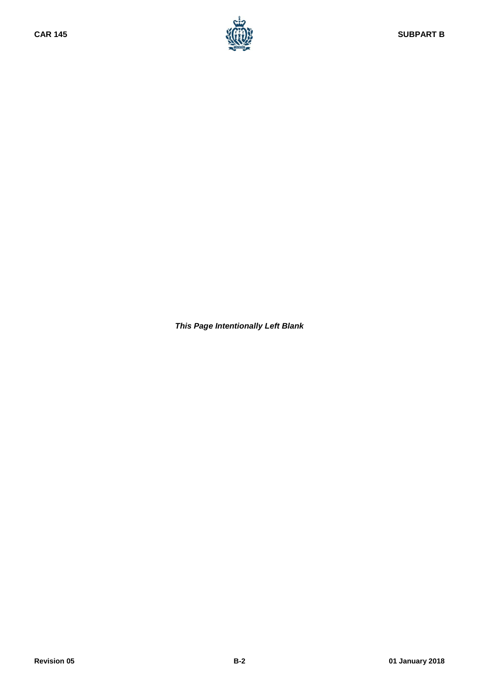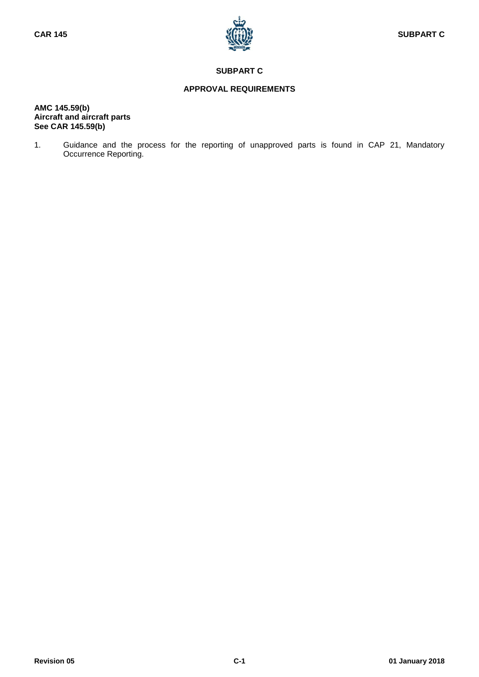

### **SUBPART C**

#### **APPROVAL REQUIREMENTS**

<span id="page-36-1"></span><span id="page-36-0"></span>**AMC 145.59(b) Aircraft and aircraft parts See CAR 145.59(b)**

1. Guidance and the process for the reporting of unapproved parts is found in CAP 21, Mandatory Occurrence Reporting.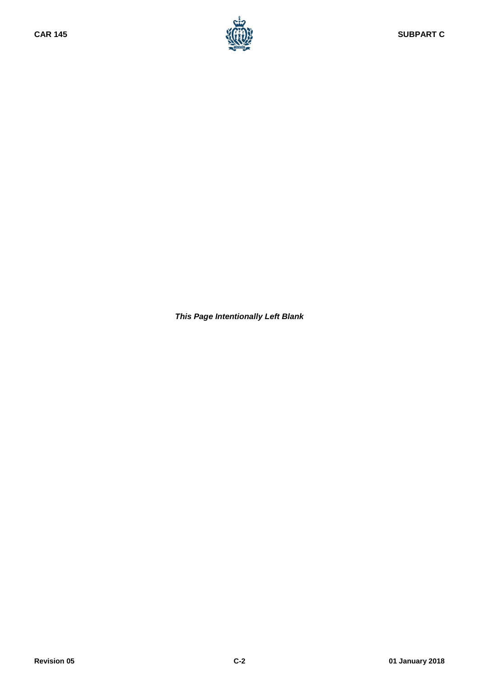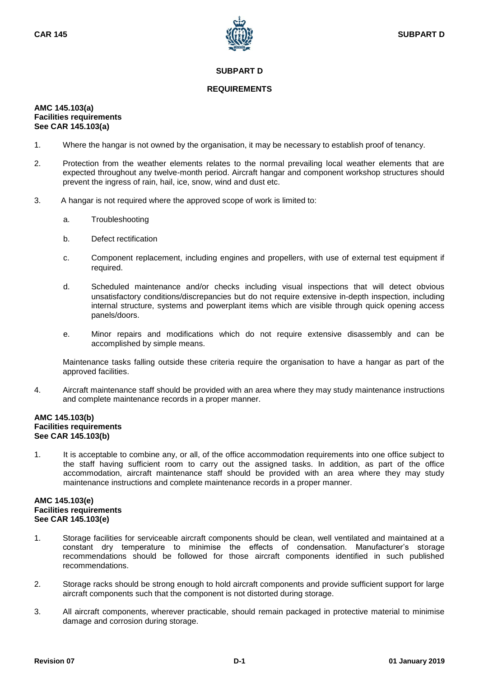

#### **SUBPART D**

#### **REQUIREMENTS**

#### <span id="page-38-1"></span><span id="page-38-0"></span>**AMC 145.103(a) Facilities requirements See CAR 145.103(a)**

- 1. Where the hangar is not owned by the organisation, it may be necessary to establish proof of tenancy.
- 2. Protection from the weather elements relates to the normal prevailing local weather elements that are expected throughout any twelve-month period. Aircraft hangar and component workshop structures should prevent the ingress of rain, hail, ice, snow, wind and dust etc.
- 3. A hangar is not required where the approved scope of work is limited to:
	- a. Troubleshooting
	- b. Defect rectification
	- c. Component replacement, including engines and propellers, with use of external test equipment if required.
	- d. Scheduled maintenance and/or checks including visual inspections that will detect obvious unsatisfactory conditions/discrepancies but do not require extensive in-depth inspection, including internal structure, systems and powerplant items which are visible through quick opening access panels/doors.
	- e. Minor repairs and modifications which do not require extensive disassembly and can be accomplished by simple means.

Maintenance tasks falling outside these criteria require the organisation to have a hangar as part of the approved facilities.

4. Aircraft maintenance staff should be provided with an area where they may study maintenance instructions and complete maintenance records in a proper manner.

#### <span id="page-38-2"></span>**AMC 145.103(b) Facilities requirements See CAR 145.103(b)**

1. It is acceptable to combine any, or all, of the office accommodation requirements into one office subject to the staff having sufficient room to carry out the assigned tasks. In addition, as part of the office accommodation, aircraft maintenance staff should be provided with an area where they may study maintenance instructions and complete maintenance records in a proper manner.

#### <span id="page-38-3"></span>**AMC 145.103(e) Facilities requirements See CAR 145.103(e)**

- 1. Storage facilities for serviceable aircraft components should be clean, well ventilated and maintained at a constant dry temperature to minimise the effects of condensation. Manufacturer's storage recommendations should be followed for those aircraft components identified in such published recommendations.
- 2. Storage racks should be strong enough to hold aircraft components and provide sufficient support for large aircraft components such that the component is not distorted during storage.
- <span id="page-38-4"></span>3. All aircraft components, wherever practicable, should remain packaged in protective material to minimise damage and corrosion during storage.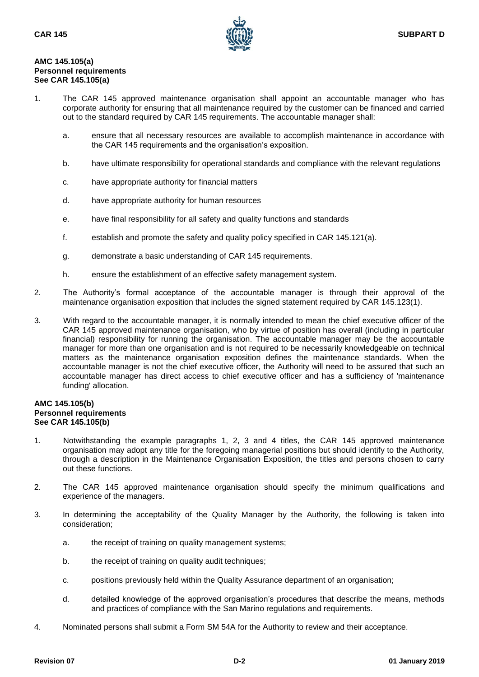

#### **AMC 145.105(a) Personnel requirements See CAR 145.105(a)**

- 1. The CAR 145 approved maintenance organisation shall appoint an accountable manager who has corporate authority for ensuring that all maintenance required by the customer can be financed and carried out to the standard required by CAR 145 requirements. The accountable manager shall:
	- a. ensure that all necessary resources are available to accomplish maintenance in accordance with the CAR 145 requirements and the organisation's exposition.
	- b. have ultimate responsibility for operational standards and compliance with the relevant regulations
	- c. have appropriate authority for financial matters
	- d. have appropriate authority for human resources
	- e. have final responsibility for all safety and quality functions and standards
	- f. establish and promote the safety and quality policy specified in CAR 145.121(a).
	- g. demonstrate a basic understanding of CAR 145 requirements.
	- h. ensure the establishment of an effective safety management system.
- 2. The Authority's formal acceptance of the accountable manager is through their approval of the maintenance organisation exposition that includes the signed statement required by CAR 145.123(1).
- 3. With regard to the accountable manager, it is normally intended to mean the chief executive officer of the CAR 145 approved maintenance organisation, who by virtue of position has overall (including in particular financial) responsibility for running the organisation. The accountable manager may be the accountable manager for more than one organisation and is not required to be necessarily knowledgeable on technical matters as the maintenance organisation exposition defines the maintenance standards. When the accountable manager is not the chief executive officer, the Authority will need to be assured that such an accountable manager has direct access to chief executive officer and has a sufficiency of 'maintenance funding' allocation.

#### <span id="page-39-0"></span>**AMC 145.105(b) Personnel requirements See CAR 145.105(b)**

- 1. Notwithstanding the example paragraphs 1, 2, 3 and 4 titles, the CAR 145 approved maintenance organisation may adopt any title for the foregoing managerial positions but should identify to the Authority, through a description in the Maintenance Organisation Exposition, the titles and persons chosen to carry out these functions.
- 2. The CAR 145 approved maintenance organisation should specify the minimum qualifications and experience of the managers.
- 3. In determining the acceptability of the Quality Manager by the Authority, the following is taken into consideration;
	- a. the receipt of training on quality management systems;
	- b. the receipt of training on quality audit techniques;
	- c. positions previously held within the Quality Assurance department of an organisation;
	- d. detailed knowledge of the approved organisation's procedures that describe the means, methods and practices of compliance with the San Marino regulations and requirements.
- <span id="page-39-1"></span>4. Nominated persons shall submit a Form SM 54A for the Authority to review and their acceptance.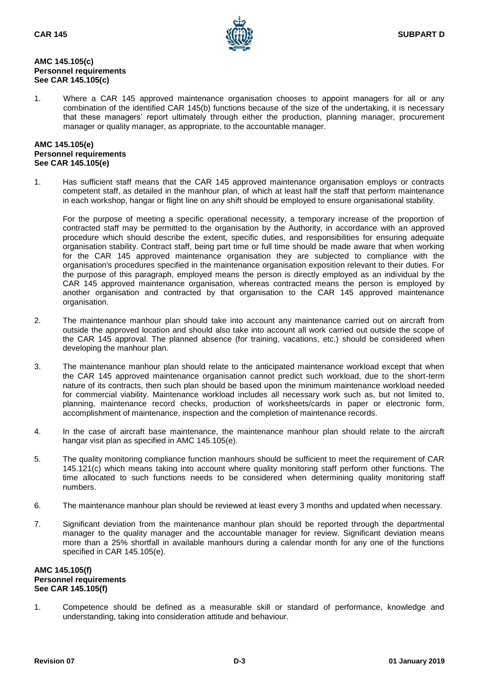

#### **AMC 145.105(c) Personnel requirements See CAR 145.105(c)**

1. Where a CAR 145 approved maintenance organisation chooses to appoint managers for all or any combination of the identified CAR 145(b) functions because of the size of the undertaking, it is necessary that these managers' report ultimately through either the production, planning manager, procurement manager or quality manager, as appropriate, to the accountable manager.

#### <span id="page-40-0"></span>**AMC 145.105(e) Personnel requirements See CAR 145.105(e)**

1. Has sufficient staff means that the CAR 145 approved maintenance organisation employs or contracts competent staff, as detailed in the manhour plan, of which at least half the staff that perform maintenance in each workshop, hangar or flight line on any shift should be employed to ensure organisational stability.

For the purpose of meeting a specific operational necessity, a temporary increase of the proportion of contracted staff may be permitted to the organisation by the Authority, in accordance with an approved procedure which should describe the extent, specific duties, and responsibilities for ensuring adequate organisation stability. Contract staff, being part time or full time should be made aware that when working for the CAR 145 approved maintenance organisation they are subjected to compliance with the organisation's procedures specified in the maintenance organisation exposition relevant to their duties. For the purpose of this paragraph, employed means the person is directly employed as an individual by the CAR 145 approved maintenance organisation, whereas contracted means the person is employed by another organisation and contracted by that organisation to the CAR 145 approved maintenance organisation.

- 2. The maintenance manhour plan should take into account any maintenance carried out on aircraft from outside the approved location and should also take into account all work carried out outside the scope of the CAR 145 approval. The planned absence (for training, vacations, etc.) should be considered when developing the manhour plan.
- 3. The maintenance manhour plan should relate to the anticipated maintenance workload except that when the CAR 145 approved maintenance organisation cannot predict such workload, due to the short-term nature of its contracts, then such plan should be based upon the minimum maintenance workload needed for commercial viability. Maintenance workload includes all necessary work such as, but not limited to, planning, maintenance record checks, production of worksheets/cards in paper or electronic form, accomplishment of maintenance, inspection and the completion of maintenance records.
- 4. In the case of aircraft base maintenance, the maintenance manhour plan should relate to the aircraft hangar visit plan as specified in AMC 145.105(e).
- 5. The quality monitoring compliance function manhours should be sufficient to meet the requirement of CAR 145.121(c) which means taking into account where quality monitoring staff perform other functions. The time allocated to such functions needs to be considered when determining quality monitoring staff numbers.
- 6. The maintenance manhour plan should be reviewed at least every 3 months and updated when necessary.
- 7. Significant deviation from the maintenance manhour plan should be reported through the departmental manager to the quality manager and the accountable manager for review. Significant deviation means more than a 25% shortfall in available manhours during a calendar month for any one of the functions specified in CAR 145.105(e).

#### <span id="page-40-1"></span>**AMC 145.105(f) Personnel requirements See CAR 145.105(f)**

1. Competence should be defined as a measurable skill or standard of performance, knowledge and understanding, taking into consideration attitude and behaviour.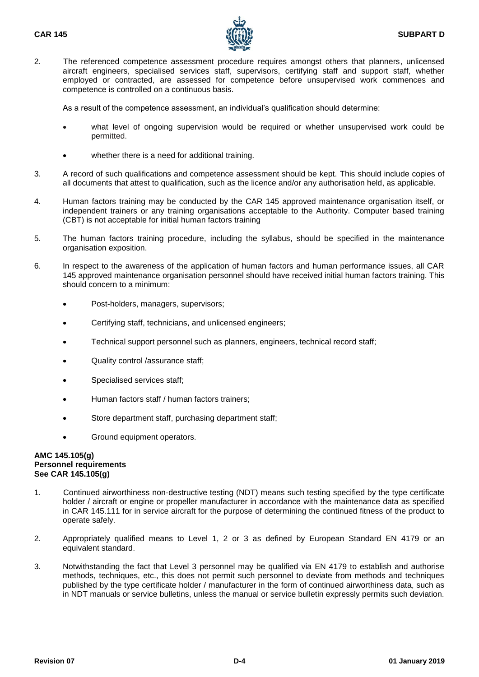

2. The referenced competence assessment procedure requires amongst others that planners, unlicensed aircraft engineers, specialised services staff, supervisors, certifying staff and support staff, whether employed or contracted, are assessed for competence before unsupervised work commences and competence is controlled on a continuous basis.

As a result of the competence assessment, an individual's qualification should determine:

- what level of ongoing supervision would be required or whether unsupervised work could be permitted.
- whether there is a need for additional training.
- 3. A record of such qualifications and competence assessment should be kept. This should include copies of all documents that attest to qualification, such as the licence and/or any authorisation held, as applicable.
- 4. Human factors training may be conducted by the CAR 145 approved maintenance organisation itself, or independent trainers or any training organisations acceptable to the Authority. Computer based training (CBT) is not acceptable for initial human factors training
- 5. The human factors training procedure, including the syllabus, should be specified in the maintenance organisation exposition.
- 6. In respect to the awareness of the application of human factors and human performance issues, all CAR 145 approved maintenance organisation personnel should have received initial human factors training. This should concern to a minimum:
	- Post-holders, managers, supervisors;
	- Certifying staff, technicians, and unlicensed engineers;
	- Technical support personnel such as planners, engineers, technical record staff;
	- Quality control /assurance staff;
	- Specialised services staff;
	- Human factors staff / human factors trainers;
	- Store department staff, purchasing department staff;
	- Ground equipment operators.

#### <span id="page-41-0"></span>**AMC 145.105(g) Personnel requirements See CAR 145.105(g)**

- 1. Continued airworthiness non-destructive testing (NDT) means such testing specified by the type certificate holder / aircraft or engine or propeller manufacturer in accordance with the maintenance data as specified in CAR 145.111 for in service aircraft for the purpose of determining the continued fitness of the product to operate safely.
- 2. Appropriately qualified means to Level 1, 2 or 3 as defined by European Standard EN 4179 or an equivalent standard.
- <span id="page-41-1"></span>3. Notwithstanding the fact that Level 3 personnel may be qualified via EN 4179 to establish and authorise methods, techniques, etc., this does not permit such personnel to deviate from methods and techniques published by the type certificate holder / manufacturer in the form of continued airworthiness data, such as in NDT manuals or service bulletins, unless the manual or service bulletin expressly permits such deviation.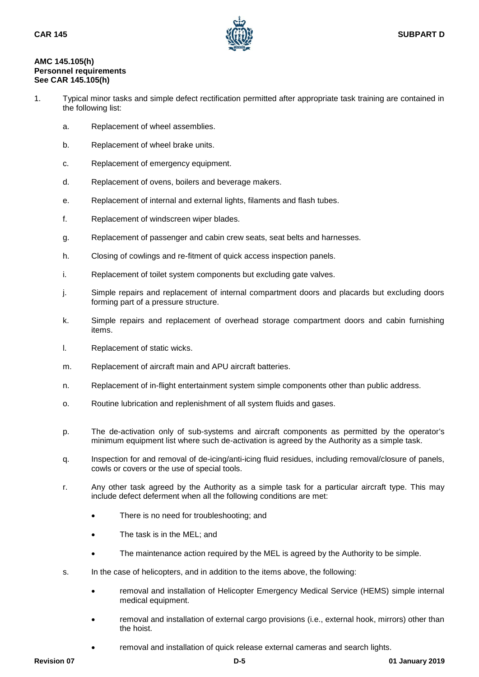

#### **AMC 145.105(h) Personnel requirements See CAR 145.105(h)**

- 1. Typical minor tasks and simple defect rectification permitted after appropriate task training are contained in the following list:
	- a. Replacement of wheel assemblies.
	- b. Replacement of wheel brake units.
	- c. Replacement of emergency equipment.
	- d. Replacement of ovens, boilers and beverage makers.
	- e. Replacement of internal and external lights, filaments and flash tubes.
	- f. Replacement of windscreen wiper blades.
	- g. Replacement of passenger and cabin crew seats, seat belts and harnesses.
	- h. Closing of cowlings and re-fitment of quick access inspection panels.
	- i. Replacement of toilet system components but excluding gate valves.
	- j. Simple repairs and replacement of internal compartment doors and placards but excluding doors forming part of a pressure structure.
	- k. Simple repairs and replacement of overhead storage compartment doors and cabin furnishing items.
	- l. Replacement of static wicks.
	- m. Replacement of aircraft main and APU aircraft batteries.
	- n. Replacement of in-flight entertainment system simple components other than public address.
	- o. Routine lubrication and replenishment of all system fluids and gases.
	- p. The de-activation only of sub-systems and aircraft components as permitted by the operator's minimum equipment list where such de-activation is agreed by the Authority as a simple task.
	- q. Inspection for and removal of de-icing/anti-icing fluid residues, including removal/closure of panels, cowls or covers or the use of special tools.
	- r. Any other task agreed by the Authority as a simple task for a particular aircraft type. This may include defect deferment when all the following conditions are met:
		- There is no need for troubleshooting; and
		- The task is in the MEL; and
		- The maintenance action required by the MEL is agreed by the Authority to be simple.
	- s. In the case of helicopters, and in addition to the items above, the following:
		- removal and installation of Helicopter Emergency Medical Service (HEMS) simple internal medical equipment.
		- removal and installation of external cargo provisions (i.e., external hook, mirrors) other than the hoist.
		- removal and installation of quick release external cameras and search lights.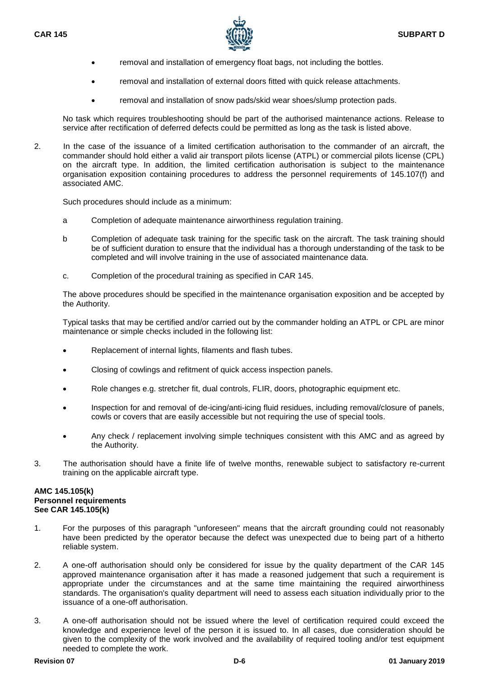

- removal and installation of emergency float bags, not including the bottles.
- removal and installation of external doors fitted with quick release attachments.
- removal and installation of snow pads/skid wear shoes/slump protection pads.

No task which requires troubleshooting should be part of the authorised maintenance actions. Release to service after rectification of deferred defects could be permitted as long as the task is listed above.

2. In the case of the issuance of a limited certification authorisation to the commander of an aircraft, the commander should hold either a valid air transport pilots license (ATPL) or commercial pilots license (CPL) on the aircraft type. In addition, the limited certification authorisation is subject to the maintenance organisation exposition containing procedures to address the personnel requirements of 145.107(f) and associated AMC.

Such procedures should include as a minimum:

- a Completion of adequate maintenance airworthiness regulation training.
- b Completion of adequate task training for the specific task on the aircraft. The task training should be of sufficient duration to ensure that the individual has a thorough understanding of the task to be completed and will involve training in the use of associated maintenance data.
- c. Completion of the procedural training as specified in CAR 145.

The above procedures should be specified in the maintenance organisation exposition and be accepted by the Authority.

Typical tasks that may be certified and/or carried out by the commander holding an ATPL or CPL are minor maintenance or simple checks included in the following list:

- Replacement of internal lights, filaments and flash tubes.
- Closing of cowlings and refitment of quick access inspection panels.
- Role changes e.g. stretcher fit, dual controls, FLIR, doors, photographic equipment etc.
- Inspection for and removal of de-icing/anti-icing fluid residues, including removal/closure of panels, cowls or covers that are easily accessible but not requiring the use of special tools.
- Any check / replacement involving simple techniques consistent with this AMC and as agreed by the Authority.
- 3. The authorisation should have a finite life of twelve months, renewable subject to satisfactory re-current training on the applicable aircraft type.

#### <span id="page-43-0"></span>**AMC 145.105(k) Personnel requirements See CAR 145.105(k)**

- 1. For the purposes of this paragraph "unforeseen" means that the aircraft grounding could not reasonably have been predicted by the operator because the defect was unexpected due to being part of a hitherto reliable system.
- 2. A one-off authorisation should only be considered for issue by the quality department of the CAR 145 approved maintenance organisation after it has made a reasoned judgement that such a requirement is appropriate under the circumstances and at the same time maintaining the required airworthiness standards. The organisation's quality department will need to assess each situation individually prior to the issuance of a one-off authorisation.
- 3. A one-off authorisation should not be issued where the level of certification required could exceed the knowledge and experience level of the person it is issued to. In all cases, due consideration should be given to the complexity of the work involved and the availability of required tooling and/or test equipment needed to complete the work.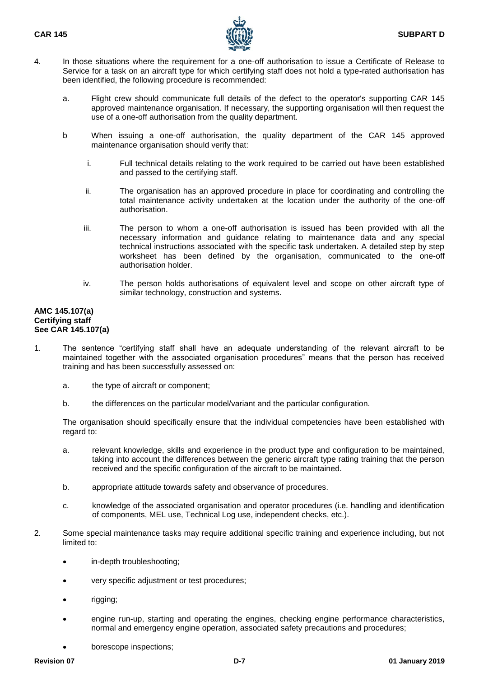

- 4. In those situations where the requirement for a one-off authorisation to issue a Certificate of Release to Service for a task on an aircraft type for which certifying staff does not hold a type-rated authorisation has been identified, the following procedure is recommended:
	- a. Flight crew should communicate full details of the defect to the operator's supporting CAR 145 approved maintenance organisation. If necessary, the supporting organisation will then request the use of a one-off authorisation from the quality department.
	- b When issuing a one-off authorisation, the quality department of the CAR 145 approved maintenance organisation should verify that:
		- i. Full technical details relating to the work required to be carried out have been established and passed to the certifying staff.
		- ii. The organisation has an approved procedure in place for coordinating and controlling the total maintenance activity undertaken at the location under the authority of the one-off authorisation.
		- iii. The person to whom a one-off authorisation is issued has been provided with all the necessary information and guidance relating to maintenance data and any special technical instructions associated with the specific task undertaken. A detailed step by step worksheet has been defined by the organisation, communicated to the one-off authorisation holder.
		- iv. The person holds authorisations of equivalent level and scope on other aircraft type of similar technology, construction and systems.

#### <span id="page-44-0"></span>**AMC 145.107(a) Certifying staff See CAR 145.107(a)**

- 1. The sentence "certifying staff shall have an adequate understanding of the relevant aircraft to be maintained together with the associated organisation procedures" means that the person has received training and has been successfully assessed on:
	- a. the type of aircraft or component;
	- b. the differences on the particular model/variant and the particular configuration.

The organisation should specifically ensure that the individual competencies have been established with regard to:

- a. relevant knowledge, skills and experience in the product type and configuration to be maintained, taking into account the differences between the generic aircraft type rating training that the person received and the specific configuration of the aircraft to be maintained.
- b. appropriate attitude towards safety and observance of procedures.
- c. knowledge of the associated organisation and operator procedures (i.e. handling and identification of components, MEL use, Technical Log use, independent checks, etc.).
- 2. Some special maintenance tasks may require additional specific training and experience including, but not limited to:
	- in-depth troubleshooting;
	- very specific adjustment or test procedures;
	- rigging;
	- engine run-up, starting and operating the engines, checking engine performance characteristics, normal and emergency engine operation, associated safety precautions and procedures;
	- borescope inspections;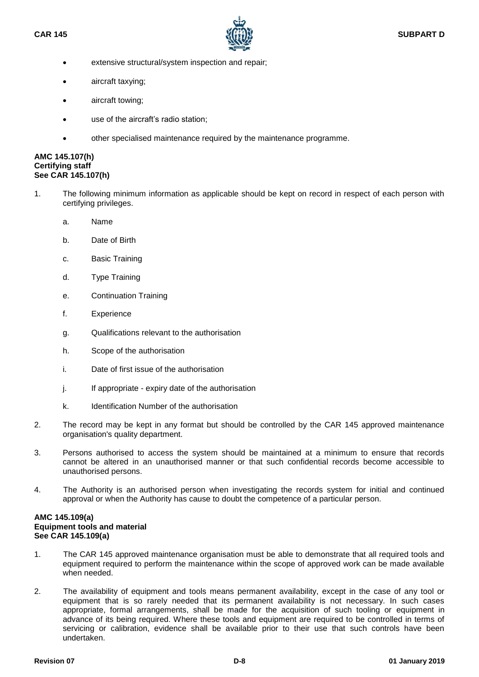

- extensive structural/system inspection and repair;
- aircraft taxying;
- aircraft towing;
- use of the aircraft's radio station;
- other specialised maintenance required by the maintenance programme.

#### <span id="page-45-0"></span>**AMC 145.107(h) Certifying staff See CAR 145.107(h)**

- 1. The following minimum information as applicable should be kept on record in respect of each person with certifying privileges.
	- a. Name
	- b. Date of Birth
	- c. Basic Training
	- d. Type Training
	- e. Continuation Training
	- f. Experience
	- g. Qualifications relevant to the authorisation
	- h. Scope of the authorisation
	- i. Date of first issue of the authorisation
	- j. If appropriate expiry date of the authorisation
	- k. Identification Number of the authorisation
- 2. The record may be kept in any format but should be controlled by the CAR 145 approved maintenance organisation's quality department.
- 3. Persons authorised to access the system should be maintained at a minimum to ensure that records cannot be altered in an unauthorised manner or that such confidential records become accessible to unauthorised persons.
- 4. The Authority is an authorised person when investigating the records system for initial and continued approval or when the Authority has cause to doubt the competence of a particular person.

#### <span id="page-45-1"></span>**AMC 145.109(a) Equipment tools and material See CAR 145.109(a)**

- 1. The CAR 145 approved maintenance organisation must be able to demonstrate that all required tools and equipment required to perform the maintenance within the scope of approved work can be made available when needed.
- 2. The availability of equipment and tools means permanent availability, except in the case of any tool or equipment that is so rarely needed that its permanent availability is not necessary. In such cases appropriate, formal arrangements, shall be made for the acquisition of such tooling or equipment in advance of its being required. Where these tools and equipment are required to be controlled in terms of servicing or calibration, evidence shall be available prior to their use that such controls have been undertaken.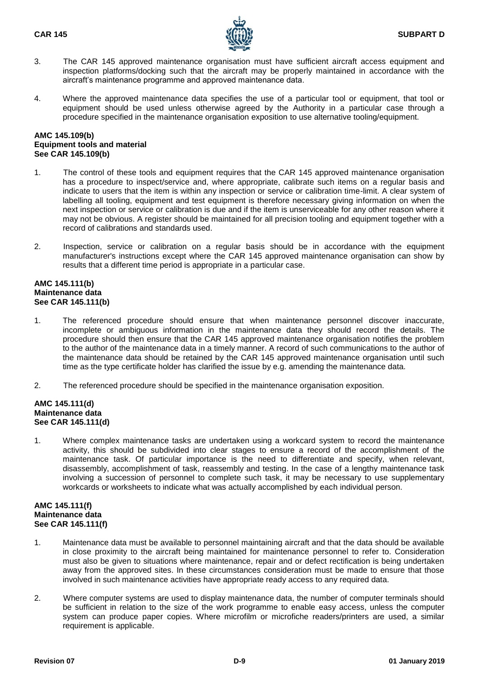

- 3. The CAR 145 approved maintenance organisation must have sufficient aircraft access equipment and inspection platforms/docking such that the aircraft may be properly maintained in accordance with the aircraft's maintenance programme and approved maintenance data.
- 4. Where the approved maintenance data specifies the use of a particular tool or equipment, that tool or equipment should be used unless otherwise agreed by the Authority in a particular case through a procedure specified in the maintenance organisation exposition to use alternative tooling/equipment.

#### <span id="page-46-0"></span>**AMC 145.109(b) Equipment tools and material See CAR 145.109(b)**

- 1. The control of these tools and equipment requires that the CAR 145 approved maintenance organisation has a procedure to inspect/service and, where appropriate, calibrate such items on a regular basis and indicate to users that the item is within any inspection or service or calibration time-limit. A clear system of labelling all tooling, equipment and test equipment is therefore necessary giving information on when the next inspection or service or calibration is due and if the item is unserviceable for any other reason where it may not be obvious. A register should be maintained for all precision tooling and equipment together with a record of calibrations and standards used.
- 2. Inspection, service or calibration on a regular basis should be in accordance with the equipment manufacturer's instructions except where the CAR 145 approved maintenance organisation can show by results that a different time period is appropriate in a particular case.

#### <span id="page-46-1"></span>**AMC 145.111(b) Maintenance data See CAR 145.111(b)**

- 1. The referenced procedure should ensure that when maintenance personnel discover inaccurate, incomplete or ambiguous information in the maintenance data they should record the details. The procedure should then ensure that the CAR 145 approved maintenance organisation notifies the problem to the author of the maintenance data in a timely manner. A record of such communications to the author of the maintenance data should be retained by the CAR 145 approved maintenance organisation until such time as the type certificate holder has clarified the issue by e.g. amending the maintenance data.
- 2. The referenced procedure should be specified in the maintenance organisation exposition.

#### <span id="page-46-2"></span>**AMC 145.111(d) Maintenance data See CAR 145.111(d)**

1. Where complex maintenance tasks are undertaken using a workcard system to record the maintenance activity, this should be subdivided into clear stages to ensure a record of the accomplishment of the maintenance task. Of particular importance is the need to differentiate and specify, when relevant, disassembly, accomplishment of task, reassembly and testing. In the case of a lengthy maintenance task involving a succession of personnel to complete such task, it may be necessary to use supplementary workcards or worksheets to indicate what was actually accomplished by each individual person.

#### <span id="page-46-3"></span>**AMC 145.111(f) Maintenance data See CAR 145.111(f)**

- 1. Maintenance data must be available to personnel maintaining aircraft and that the data should be available in close proximity to the aircraft being maintained for maintenance personnel to refer to. Consideration must also be given to situations where maintenance, repair and or defect rectification is being undertaken away from the approved sites. In these circumstances consideration must be made to ensure that those involved in such maintenance activities have appropriate ready access to any required data.
- 2. Where computer systems are used to display maintenance data, the number of computer terminals should be sufficient in relation to the size of the work programme to enable easy access, unless the computer system can produce paper copies. Where microfilm or microfiche readers/printers are used, a similar requirement is applicable.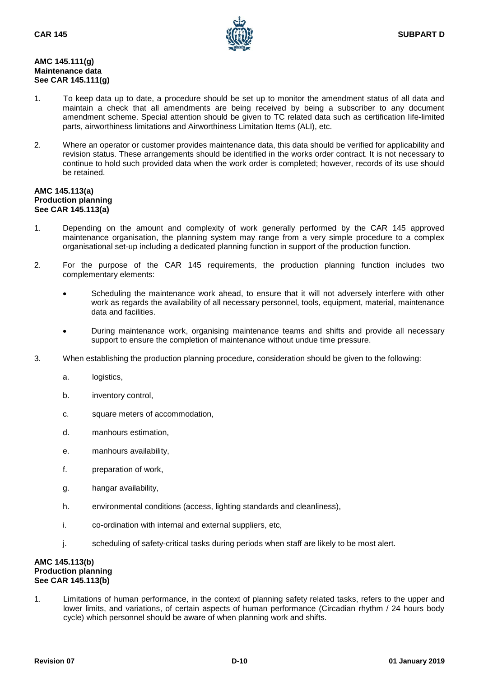

#### <span id="page-47-0"></span>**AMC 145.111(g) Maintenance data See CAR 145.111(g)**

- 1. To keep data up to date, a procedure should be set up to monitor the amendment status of all data and maintain a check that all amendments are being received by being a subscriber to any document amendment scheme. Special attention should be given to TC related data such as certification life-limited parts, airworthiness limitations and Airworthiness Limitation Items (ALI), etc.
- 2. Where an operator or customer provides maintenance data, this data should be verified for applicability and revision status. These arrangements should be identified in the works order contract. It is not necessary to continue to hold such provided data when the work order is completed; however, records of its use should be retained.

#### <span id="page-47-1"></span>**AMC 145.113(a) Production planning See CAR 145.113(a)**

- 1. Depending on the amount and complexity of work generally performed by the CAR 145 approved maintenance organisation, the planning system may range from a very simple procedure to a complex organisational set-up including a dedicated planning function in support of the production function.
- 2. For the purpose of the CAR 145 requirements, the production planning function includes two complementary elements:
	- Scheduling the maintenance work ahead, to ensure that it will not adversely interfere with other work as regards the availability of all necessary personnel, tools, equipment, material, maintenance data and facilities.
	- During maintenance work, organising maintenance teams and shifts and provide all necessary support to ensure the completion of maintenance without undue time pressure.
- 3. When establishing the production planning procedure, consideration should be given to the following:
	- a. logistics,
	- b. inventory control,
	- c. square meters of accommodation,
	- d. manhours estimation,
	- e. manhours availability,
	- f. preparation of work,
	- g. hangar availability,
	- h. environmental conditions (access, lighting standards and cleanliness),
	- i. co-ordination with internal and external suppliers, etc,
	- i. scheduling of safety-critical tasks during periods when staff are likely to be most alert.

#### <span id="page-47-2"></span>**AMC 145.113(b) Production planning See CAR 145.113(b)**

<span id="page-47-3"></span>1. Limitations of human performance, in the context of planning safety related tasks, refers to the upper and lower limits, and variations, of certain aspects of human performance (Circadian rhythm / 24 hours body cycle) which personnel should be aware of when planning work and shifts.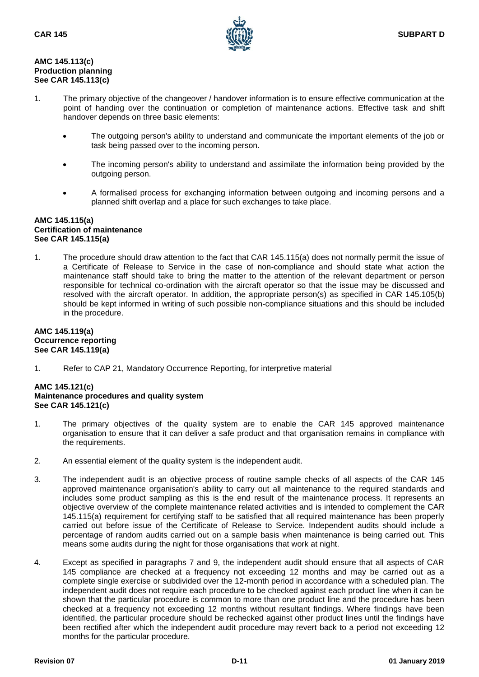

#### **AMC 145.113(c) Production planning See CAR 145.113(c)**

- 1. The primary objective of the changeover / handover information is to ensure effective communication at the point of handing over the continuation or completion of maintenance actions. Effective task and shift handover depends on three basic elements:
	- The outgoing person's ability to understand and communicate the important elements of the job or task being passed over to the incoming person.
	- The incoming person's ability to understand and assimilate the information being provided by the outgoing person.
	- A formalised process for exchanging information between outgoing and incoming persons and a planned shift overlap and a place for such exchanges to take place.

#### <span id="page-48-0"></span>**AMC 145.115(a) Certification of maintenance See CAR 145.115(a)**

1. The procedure should draw attention to the fact that CAR 145.115(a) does not normally permit the issue of a Certificate of Release to Service in the case of non-compliance and should state what action the maintenance staff should take to bring the matter to the attention of the relevant department or person responsible for technical co-ordination with the aircraft operator so that the issue may be discussed and resolved with the aircraft operator. In addition, the appropriate person(s) as specified in CAR 145.105(b) should be kept informed in writing of such possible non-compliance situations and this should be included in the procedure.

#### <span id="page-48-1"></span>**AMC 145.119(a) Occurrence reporting See CAR 145.119(a)**

1. Refer to CAP 21, Mandatory Occurrence Reporting, for interpretive material

#### <span id="page-48-2"></span>**AMC 145.121(c) Maintenance procedures and quality system See CAR 145.121(c)**

- 1. The primary objectives of the quality system are to enable the CAR 145 approved maintenance organisation to ensure that it can deliver a safe product and that organisation remains in compliance with the requirements.
- 2. An essential element of the quality system is the independent audit.
- 3. The independent audit is an objective process of routine sample checks of all aspects of the CAR 145 approved maintenance organisation's ability to carry out all maintenance to the required standards and includes some product sampling as this is the end result of the maintenance process. It represents an objective overview of the complete maintenance related activities and is intended to complement the CAR 145.115(a) requirement for certifying staff to be satisfied that all required maintenance has been properly carried out before issue of the Certificate of Release to Service. Independent audits should include a percentage of random audits carried out on a sample basis when maintenance is being carried out. This means some audits during the night for those organisations that work at night.
- 4. Except as specified in paragraphs 7 and 9, the independent audit should ensure that all aspects of CAR 145 compliance are checked at a frequency not exceeding 12 months and may be carried out as a complete single exercise or subdivided over the 12-month period in accordance with a scheduled plan. The independent audit does not require each procedure to be checked against each product line when it can be shown that the particular procedure is common to more than one product line and the procedure has been checked at a frequency not exceeding 12 months without resultant findings. Where findings have been identified, the particular procedure should be rechecked against other product lines until the findings have been rectified after which the independent audit procedure may revert back to a period not exceeding 12 months for the particular procedure.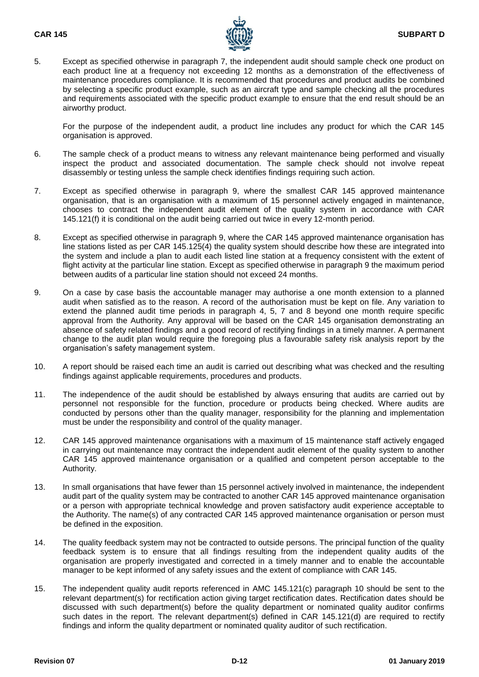

5. Except as specified otherwise in paragraph 7, the independent audit should sample check one product on each product line at a frequency not exceeding 12 months as a demonstration of the effectiveness of maintenance procedures compliance. It is recommended that procedures and product audits be combined by selecting a specific product example, such as an aircraft type and sample checking all the procedures and requirements associated with the specific product example to ensure that the end result should be an airworthy product.

For the purpose of the independent audit, a product line includes any product for which the CAR 145 organisation is approved.

- 6. The sample check of a product means to witness any relevant maintenance being performed and visually inspect the product and associated documentation. The sample check should not involve repeat disassembly or testing unless the sample check identifies findings requiring such action.
- 7. Except as specified otherwise in paragraph 9, where the smallest CAR 145 approved maintenance organisation, that is an organisation with a maximum of 15 personnel actively engaged in maintenance, chooses to contract the independent audit element of the quality system in accordance with CAR 145.121(f) it is conditional on the audit being carried out twice in every 12-month period.
- 8. Except as specified otherwise in paragraph 9, where the CAR 145 approved maintenance organisation has line stations listed as per CAR 145.125(4) the quality system should describe how these are integrated into the system and include a plan to audit each listed line station at a frequency consistent with the extent of flight activity at the particular line station. Except as specified otherwise in paragraph 9 the maximum period between audits of a particular line station should not exceed 24 months.
- 9. On a case by case basis the accountable manager may authorise a one month extension to a planned audit when satisfied as to the reason. A record of the authorisation must be kept on file. Any variation to extend the planned audit time periods in paragraph 4, 5, 7 and 8 beyond one month require specific approval from the Authority. Any approval will be based on the CAR 145 organisation demonstrating an absence of safety related findings and a good record of rectifying findings in a timely manner. A permanent change to the audit plan would require the foregoing plus a favourable safety risk analysis report by the organisation's safety management system.
- 10. A report should be raised each time an audit is carried out describing what was checked and the resulting findings against applicable requirements, procedures and products.
- 11. The independence of the audit should be established by always ensuring that audits are carried out by personnel not responsible for the function, procedure or products being checked. Where audits are conducted by persons other than the quality manager, responsibility for the planning and implementation must be under the responsibility and control of the quality manager.
- 12. CAR 145 approved maintenance organisations with a maximum of 15 maintenance staff actively engaged in carrying out maintenance may contract the independent audit element of the quality system to another CAR 145 approved maintenance organisation or a qualified and competent person acceptable to the Authority.
- 13. In small organisations that have fewer than 15 personnel actively involved in maintenance, the independent audit part of the quality system may be contracted to another CAR 145 approved maintenance organisation or a person with appropriate technical knowledge and proven satisfactory audit experience acceptable to the Authority. The name(s) of any contracted CAR 145 approved maintenance organisation or person must be defined in the exposition.
- 14. The quality feedback system may not be contracted to outside persons. The principal function of the quality feedback system is to ensure that all findings resulting from the independent quality audits of the organisation are properly investigated and corrected in a timely manner and to enable the accountable manager to be kept informed of any safety issues and the extent of compliance with CAR 145.
- 15. The independent quality audit reports referenced in AMC 145.121(c) paragraph 10 should be sent to the relevant department(s) for rectification action giving target rectification dates. Rectification dates should be discussed with such department(s) before the quality department or nominated quality auditor confirms such dates in the report. The relevant department(s) defined in CAR 145.121(d) are required to rectify findings and inform the quality department or nominated quality auditor of such rectification.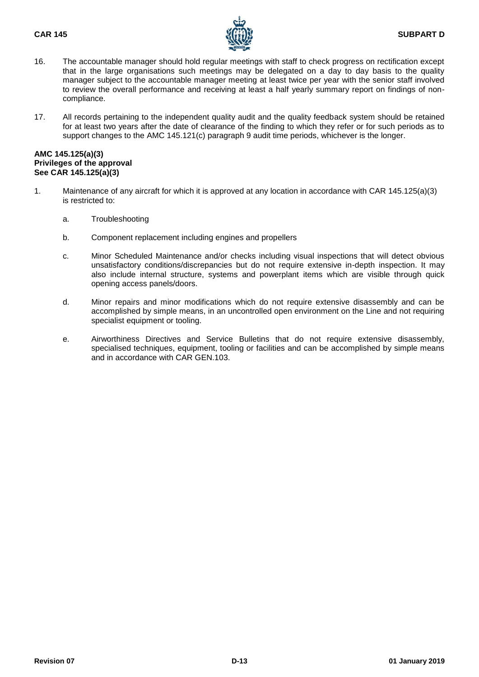

- 16. The accountable manager should hold regular meetings with staff to check progress on rectification except that in the large organisations such meetings may be delegated on a day to day basis to the quality manager subject to the accountable manager meeting at least twice per year with the senior staff involved to review the overall performance and receiving at least a half yearly summary report on findings of noncompliance.
- 17. All records pertaining to the independent quality audit and the quality feedback system should be retained for at least two years after the date of clearance of the finding to which they refer or for such periods as to support changes to the AMC 145.121(c) paragraph 9 audit time periods, whichever is the longer.

#### <span id="page-50-0"></span>**AMC 145.125(a)(3) Privileges of the approval See CAR 145.125(a)(3)**

- 1. Maintenance of any aircraft for which it is approved at any location in accordance with CAR 145.125(a)(3) is restricted to:
	- a. Troubleshooting
	- b. Component replacement including engines and propellers
	- c. Minor Scheduled Maintenance and/or checks including visual inspections that will detect obvious unsatisfactory conditions/discrepancies but do not require extensive in-depth inspection. It may also include internal structure, systems and powerplant items which are visible through quick opening access panels/doors.
	- d. Minor repairs and minor modifications which do not require extensive disassembly and can be accomplished by simple means, in an uncontrolled open environment on the Line and not requiring specialist equipment or tooling.
	- e. Airworthiness Directives and Service Bulletins that do not require extensive disassembly, specialised techniques, equipment, tooling or facilities and can be accomplished by simple means and in accordance with CAR GEN.103.